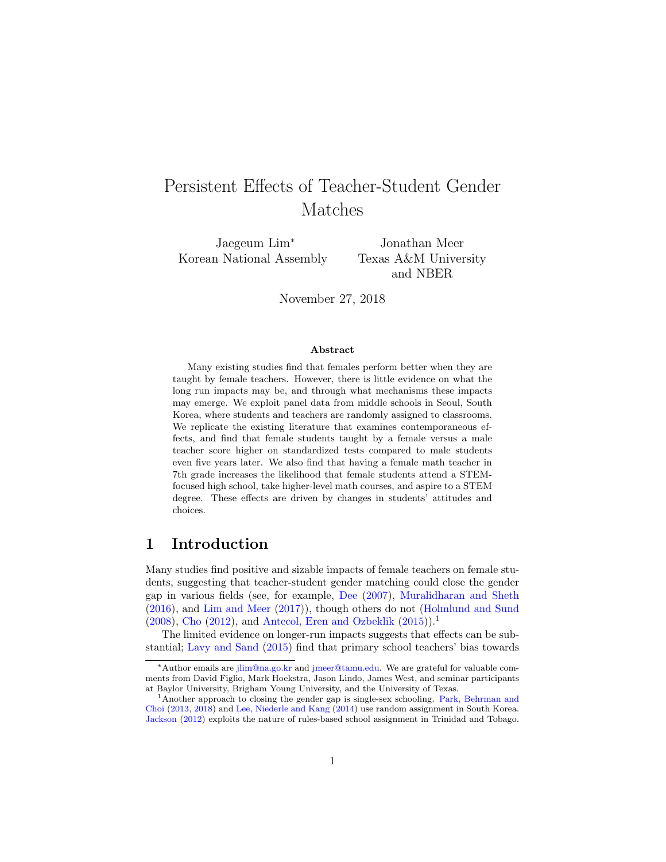## Persistent Effects of Teacher-Student Gender Matches

Jaegeum Lim<sup>∗</sup> Korean National Assembly

Jonathan Meer Texas A&M University and NBER

November 27, 2018

#### Abstract

Many existing studies find that females perform better when they are taught by female teachers. However, there is little evidence on what the long run impacts may be, and through what mechanisms these impacts may emerge. We exploit panel data from middle schools in Seoul, South Korea, where students and teachers are randomly assigned to classrooms. We replicate the existing literature that examines contemporaneous effects, and find that female students taught by a female versus a male teacher score higher on standardized tests compared to male students even five years later. We also find that having a female math teacher in 7th grade increases the likelihood that female students attend a STEMfocused high school, take higher-level math courses, and aspire to a STEM degree. These effects are driven by changes in students' attitudes and choices.

## 1 Introduction

Many studies find positive and sizable impacts of female teachers on female students, suggesting that teacher-student gender matching could close the gender gap in various fields (see, for example, [Dee](#page-24-0) [\(2007\)](#page-24-0), [Muralidharan and Sheth](#page-26-0) [\(2016\)](#page-26-0), and [Lim and Meer](#page-25-0) [\(2017\)](#page-25-0)), though others do not [\(Holmlund and Sund](#page-24-1)  $(2008)$ , [Cho](#page-24-2)  $(2012)$ , and [Antecol, Eren and Ozbeklik](#page-24-3)  $(2015)$ .<sup>[1](#page-0-0)</sup>

The limited evidence on longer-run impacts suggests that effects can be substantial; [Lavy and Sand](#page-25-1) [\(2015\)](#page-25-1) find that primary school teachers' bias towards

<sup>∗</sup>Author emails are [jlim@na.go.kr](mailto:jlim@na.go.kr) and [jmeer@tamu.edu.](mailto:jmeer@tamu.edu) We are grateful for valuable comments from David Figlio, Mark Hoekstra, Jason Lindo, James West, and seminar participants at Baylor University, Brigham Young University, and the University of Texas.

<span id="page-0-0"></span><sup>1</sup>Another approach to closing the gender gap is single-sex schooling. [Park, Behrman and](#page-26-1) [Choi](#page-26-1) [\(2013,](#page-26-1) [2018\)](#page-26-2) and [Lee, Niederle and Kang](#page-25-2) [\(2014\)](#page-25-2) use random assignment in South Korea. [Jackson](#page-25-3) [\(2012\)](#page-25-3) exploits the nature of rules-based school assignment in Trinidad and Tobago.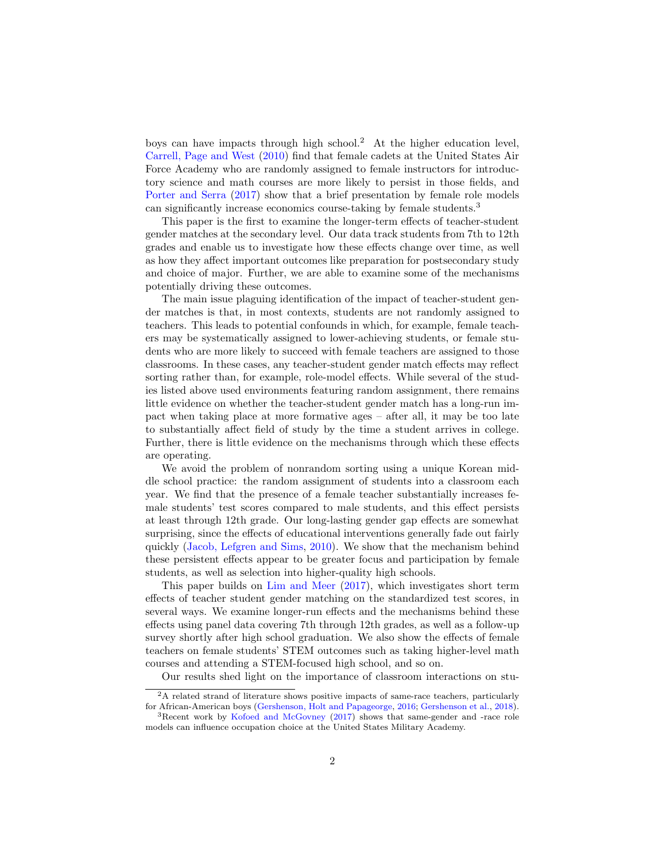boys can have impacts through high school.[2](#page-1-0) At the higher education level, [Carrell, Page and West](#page-24-4) [\(2010\)](#page-24-4) find that female cadets at the United States Air Force Academy who are randomly assigned to female instructors for introductory science and math courses are more likely to persist in those fields, and [Porter and Serra](#page-26-3) [\(2017\)](#page-26-3) show that a brief presentation by female role models can significantly increase economics course-taking by female students.[3](#page-1-1)

This paper is the first to examine the longer-term effects of teacher-student gender matches at the secondary level. Our data track students from 7th to 12th grades and enable us to investigate how these effects change over time, as well as how they affect important outcomes like preparation for postsecondary study and choice of major. Further, we are able to examine some of the mechanisms potentially driving these outcomes.

The main issue plaguing identification of the impact of teacher-student gender matches is that, in most contexts, students are not randomly assigned to teachers. This leads to potential confounds in which, for example, female teachers may be systematically assigned to lower-achieving students, or female students who are more likely to succeed with female teachers are assigned to those classrooms. In these cases, any teacher-student gender match effects may reflect sorting rather than, for example, role-model effects. While several of the studies listed above used environments featuring random assignment, there remains little evidence on whether the teacher-student gender match has a long-run impact when taking place at more formative ages – after all, it may be too late to substantially affect field of study by the time a student arrives in college. Further, there is little evidence on the mechanisms through which these effects are operating.

We avoid the problem of nonrandom sorting using a unique Korean middle school practice: the random assignment of students into a classroom each year. We find that the presence of a female teacher substantially increases female students' test scores compared to male students, and this effect persists at least through 12th grade. Our long-lasting gender gap effects are somewhat surprising, since the effects of educational interventions generally fade out fairly quickly [\(Jacob, Lefgren and Sims,](#page-25-4) [2010\)](#page-25-4). We show that the mechanism behind these persistent effects appear to be greater focus and participation by female students, as well as selection into higher-quality high schools.

This paper builds on [Lim and Meer](#page-25-0) [\(2017\)](#page-25-0), which investigates short term effects of teacher student gender matching on the standardized test scores, in several ways. We examine longer-run effects and the mechanisms behind these effects using panel data covering 7th through 12th grades, as well as a follow-up survey shortly after high school graduation. We also show the effects of female teachers on female students' STEM outcomes such as taking higher-level math courses and attending a STEM-focused high school, and so on.

<span id="page-1-0"></span>Our results shed light on the importance of classroom interactions on stu-

<sup>2</sup>A related strand of literature shows positive impacts of same-race teachers, particularly for African-American boys [\(Gershenson, Holt and Papageorge,](#page-24-5) [2016;](#page-24-5) [Gershenson et al.,](#page-24-6) [2018\)](#page-24-6).

<span id="page-1-1"></span><sup>3</sup>Recent work by [Kofoed and McGovney](#page-25-5) [\(2017\)](#page-25-5) shows that same-gender and -race role models can influence occupation choice at the United States Military Academy.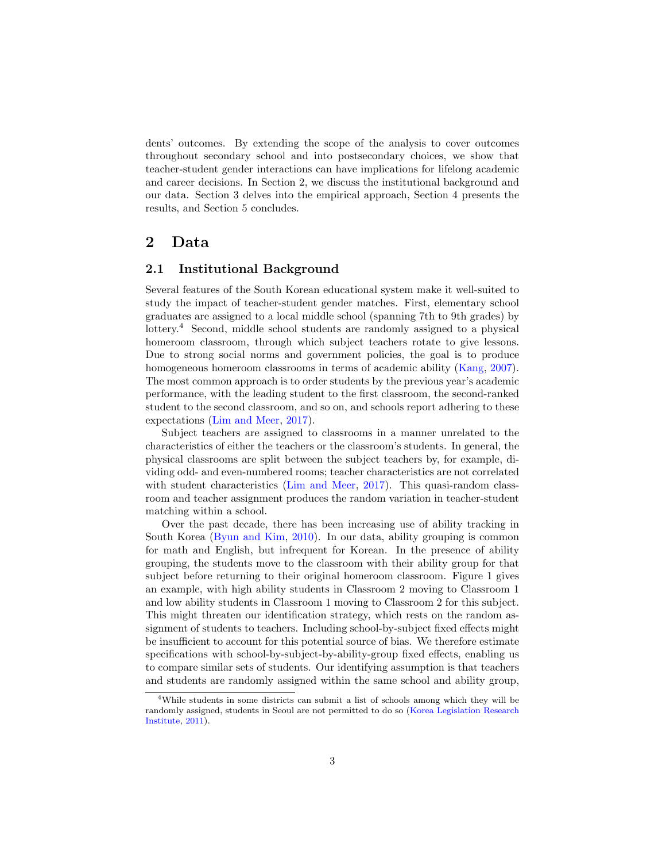dents' outcomes. By extending the scope of the analysis to cover outcomes throughout secondary school and into postsecondary choices, we show that teacher-student gender interactions can have implications for lifelong academic and career decisions. In Section 2, we discuss the institutional background and our data. Section 3 delves into the empirical approach, Section 4 presents the results, and Section 5 concludes.

## 2 Data

### 2.1 Institutional Background

Several features of the South Korean educational system make it well-suited to study the impact of teacher-student gender matches. First, elementary school graduates are assigned to a local middle school (spanning 7th to 9th grades) by lottery.<sup>[4](#page-2-0)</sup> Second, middle school students are randomly assigned to a physical homeroom classroom, through which subject teachers rotate to give lessons. Due to strong social norms and government policies, the goal is to produce homogeneous homeroom classrooms in terms of academic ability [\(Kang,](#page-25-6) [2007\)](#page-25-6). The most common approach is to order students by the previous year's academic performance, with the leading student to the first classroom, the second-ranked student to the second classroom, and so on, and schools report adhering to these expectations [\(Lim and Meer,](#page-25-0) [2017\)](#page-25-0).

Subject teachers are assigned to classrooms in a manner unrelated to the characteristics of either the teachers or the classroom's students. In general, the physical classrooms are split between the subject teachers by, for example, dividing odd- and even-numbered rooms; teacher characteristics are not correlated with student characteristics [\(Lim and Meer,](#page-25-0) [2017\)](#page-25-0). This quasi-random classroom and teacher assignment produces the random variation in teacher-student matching within a school.

Over the past decade, there has been increasing use of ability tracking in South Korea [\(Byun and Kim,](#page-24-7) [2010\)](#page-24-7). In our data, ability grouping is common for math and English, but infrequent for Korean. In the presence of ability grouping, the students move to the classroom with their ability group for that subject before returning to their original homeroom classroom. Figure 1 gives an example, with high ability students in Classroom 2 moving to Classroom 1 and low ability students in Classroom 1 moving to Classroom 2 for this subject. This might threaten our identification strategy, which rests on the random assignment of students to teachers. Including school-by-subject fixed effects might be insufficient to account for this potential source of bias. We therefore estimate specifications with school-by-subject-by-ability-group fixed effects, enabling us to compare similar sets of students. Our identifying assumption is that teachers and students are randomly assigned within the same school and ability group,

<span id="page-2-0"></span><sup>4</sup>While students in some districts can submit a list of schools among which they will be randomly assigned, students in Seoul are not permitted to do so [\(Korea Legislation Research](#page-25-7) [Institute,](#page-25-7) [2011\)](#page-25-7).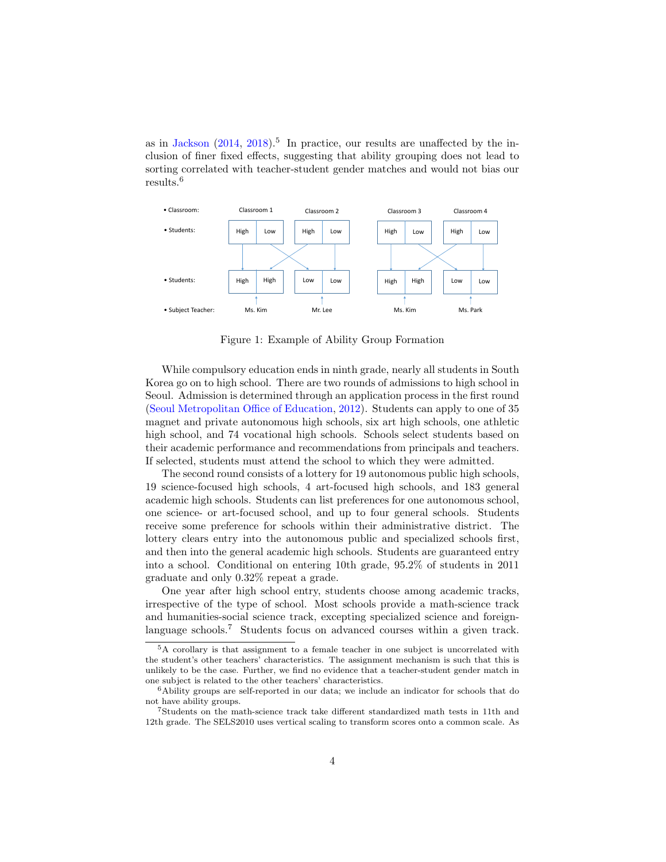as in [Jackson](#page-25-8)  $(2014, 2018)$  $(2014, 2018)$  $(2014, 2018)$ .<sup>[5](#page-3-0)</sup> In practice, our results are unaffected by the inclusion of finer fixed effects, suggesting that ability grouping does not lead to sorting correlated with teacher-student gender matches and would not bias our results.[6](#page-3-1)



Figure 1: Example of Ability Group Formation

While compulsory education ends in ninth grade, nearly all students in South Korea go on to high school. There are two rounds of admissions to high school in Seoul. Admission is determined through an application process in the first round [\(Seoul Metropolitan Office of Education,](#page-26-4) [2012\)](#page-26-4). Students can apply to one of 35 magnet and private autonomous high schools, six art high schools, one athletic high school, and 74 vocational high schools. Schools select students based on their academic performance and recommendations from principals and teachers. If selected, students must attend the school to which they were admitted.

The second round consists of a lottery for 19 autonomous public high schools, 19 science-focused high schools, 4 art-focused high schools, and 183 general academic high schools. Students can list preferences for one autonomous school, one science- or art-focused school, and up to four general schools. Students receive some preference for schools within their administrative district. The lottery clears entry into the autonomous public and specialized schools first, and then into the general academic high schools. Students are guaranteed entry into a school. Conditional on entering 10th grade, 95.2% of students in 2011 graduate and only 0.32% repeat a grade.

One year after high school entry, students choose among academic tracks, irrespective of the type of school. Most schools provide a math-science track and humanities-social science track, excepting specialized science and foreign-language schools.<sup>[7](#page-3-2)</sup> Students focus on advanced courses within a given track.

<span id="page-3-0"></span><sup>5</sup>A corollary is that assignment to a female teacher in one subject is uncorrelated with the student's other teachers' characteristics. The assignment mechanism is such that this is unlikely to be the case. Further, we find no evidence that a teacher-student gender match in one subject is related to the other teachers' characteristics.

<span id="page-3-1"></span><sup>6</sup>Ability groups are self-reported in our data; we include an indicator for schools that do not have ability groups.

<span id="page-3-2"></span><sup>7</sup>Students on the math-science track take different standardized math tests in 11th and 12th grade. The SELS2010 uses vertical scaling to transform scores onto a common scale. As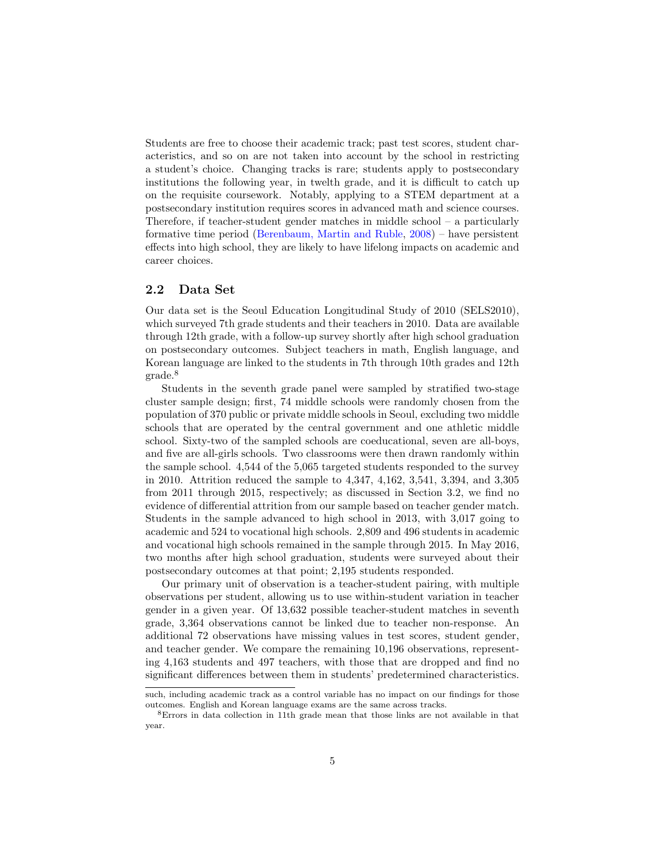Students are free to choose their academic track; past test scores, student characteristics, and so on are not taken into account by the school in restricting a student's choice. Changing tracks is rare; students apply to postsecondary institutions the following year, in twelth grade, and it is difficult to catch up on the requisite coursework. Notably, applying to a STEM department at a postsecondary institution requires scores in advanced math and science courses. Therefore, if teacher-student gender matches in middle school – a particularly formative time period [\(Berenbaum, Martin and Ruble,](#page-24-8) [2008\)](#page-24-8) – have persistent effects into high school, they are likely to have lifelong impacts on academic and career choices.

### <span id="page-4-1"></span>2.2 Data Set

Our data set is the Seoul Education Longitudinal Study of 2010 (SELS2010), which surveyed 7th grade students and their teachers in 2010. Data are available through 12th grade, with a follow-up survey shortly after high school graduation on postsecondary outcomes. Subject teachers in math, English language, and Korean language are linked to the students in 7th through 10th grades and 12th grade.[8](#page-4-0)

Students in the seventh grade panel were sampled by stratified two-stage cluster sample design; first, 74 middle schools were randomly chosen from the population of 370 public or private middle schools in Seoul, excluding two middle schools that are operated by the central government and one athletic middle school. Sixty-two of the sampled schools are coeducational, seven are all-boys, and five are all-girls schools. Two classrooms were then drawn randomly within the sample school. 4,544 of the 5,065 targeted students responded to the survey in 2010. Attrition reduced the sample to 4,347, 4,162, 3,541, 3,394, and 3,305 from 2011 through 2015, respectively; as discussed in Section [3.2,](#page-9-0) we find no evidence of differential attrition from our sample based on teacher gender match. Students in the sample advanced to high school in 2013, with 3,017 going to academic and 524 to vocational high schools. 2,809 and 496 students in academic and vocational high schools remained in the sample through 2015. In May 2016, two months after high school graduation, students were surveyed about their postsecondary outcomes at that point; 2,195 students responded.

Our primary unit of observation is a teacher-student pairing, with multiple observations per student, allowing us to use within-student variation in teacher gender in a given year. Of 13,632 possible teacher-student matches in seventh grade, 3,364 observations cannot be linked due to teacher non-response. An additional 72 observations have missing values in test scores, student gender, and teacher gender. We compare the remaining 10,196 observations, representing 4,163 students and 497 teachers, with those that are dropped and find no significant differences between them in students' predetermined characteristics.

such, including academic track as a control variable has no impact on our findings for those outcomes. English and Korean language exams are the same across tracks.

<span id="page-4-0"></span><sup>8</sup>Errors in data collection in 11th grade mean that those links are not available in that year.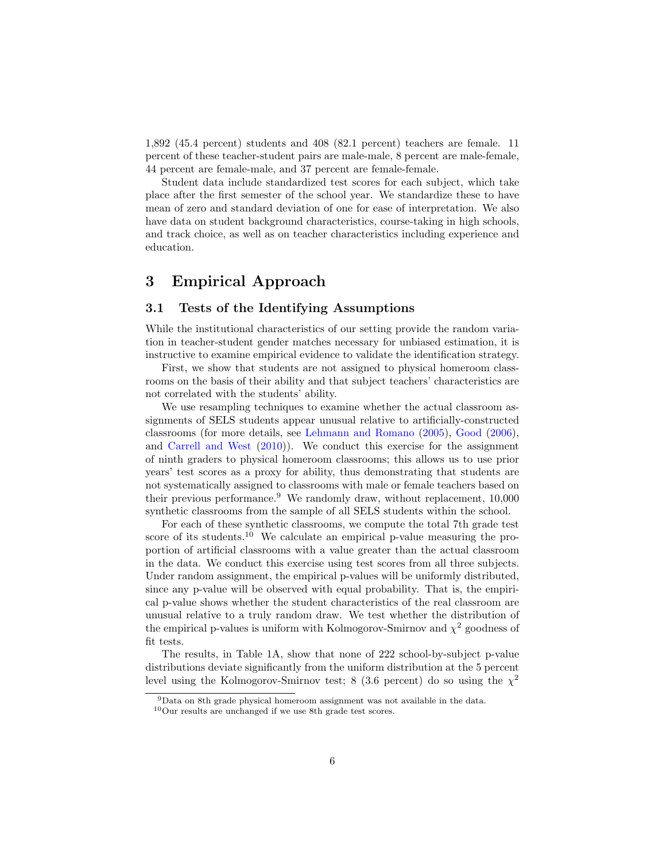1,892 (45.4 percent) students and 408 (82.1 percent) teachers are female. 11 percent of these teacher-student pairs are male-male, 8 percent are male-female, 44 percent are female-male, and 37 percent are female-female.

Student data include standardized test scores for each subject, which take place after the first semester of the school year. We standardize these to have mean of zero and standard deviation of one for ease of interpretation. We also have data on student background characteristics, course-taking in high schools, and track choice, as well as on teacher characteristics including experience and education.

## 3 Empirical Approach

### 3.1 Tests of the Identifying Assumptions

While the institutional characteristics of our setting provide the random variation in teacher-student gender matches necessary for unbiased estimation, it is instructive to examine empirical evidence to validate the identification strategy.

First, we show that students are not assigned to physical homeroom classrooms on the basis of their ability and that subject teachers' characteristics are not correlated with the students' ability.

We use resampling techniques to examine whether the actual classroom assignments of SELS students appear unusual relative to artificially-constructed classrooms (for more details, see [Lehmann and Romano](#page-25-10) [\(2005\)](#page-25-10), [Good](#page-24-9) [\(2006\)](#page-24-9), and [Carrell and West](#page-24-10) [\(2010\)](#page-24-10)). We conduct this exercise for the assignment of ninth graders to physical homeroom classrooms; this allows us to use prior years' test scores as a proxy for ability, thus demonstrating that students are not systematically assigned to classrooms with male or female teachers based on their previous performance.[9](#page-5-0) We randomly draw, without replacement, 10,000 synthetic classrooms from the sample of all SELS students within the school.

For each of these synthetic classrooms, we compute the total 7th grade test score of its students.<sup>[10](#page-5-1)</sup> We calculate an empirical p-value measuring the proportion of artificial classrooms with a value greater than the actual classroom in the data. We conduct this exercise using test scores from all three subjects. Under random assignment, the empirical p-values will be uniformly distributed, since any p-value will be observed with equal probability. That is, the empirical p-value shows whether the student characteristics of the real classroom are unusual relative to a truly random draw. We test whether the distribution of the empirical p-values is uniform with Kolmogorov-Smirnov and  $\chi^2$  goodness of fit tests.

The results, in Table [1A](#page-6-0), show that none of 222 school-by-subject p-value distributions deviate significantly from the uniform distribution at the 5 percent level using the Kolmogorov-Smirnov test; 8 (3.6 percent) do so using the  $\chi^2$ 

<span id="page-5-0"></span><sup>9</sup>Data on 8th grade physical homeroom assignment was not available in the data.

<span id="page-5-1"></span> $\rm ^{10}Our$  results are unchanged if we use 8th grade test scores.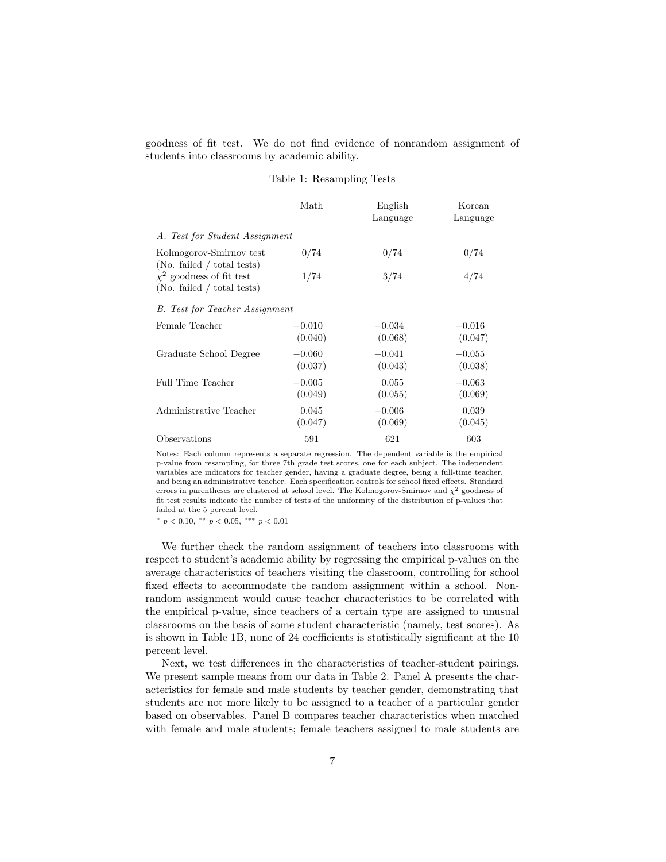goodness of fit test. We do not find evidence of nonrandom assignment of students into classrooms by academic ability.

<span id="page-6-0"></span>

|                                                             | Math                | English<br>Language | Korean<br>Language  |
|-------------------------------------------------------------|---------------------|---------------------|---------------------|
| A. Test for Student Assignment                              |                     |                     |                     |
| Kolmogorov-Smirnov test<br>(No. failed / total tests)       | 0/74                | 0/74                | 0/74                |
| $\chi^2$ goodness of fit test<br>(No. failed / total tests) | 1/74                | 3/74                | 4/74                |
| B. Test for Teacher Assignment                              |                     |                     |                     |
| Female Teacher                                              | $-0.010$<br>(0.040) | $-0.034$<br>(0.068) | $-0.016$<br>(0.047) |
| Graduate School Degree                                      | $-0.060$<br>(0.037) | $-0.041$<br>(0.043) | $-0.055$<br>(0.038) |
| Full Time Teacher                                           | $-0.005$<br>(0.049) | 0.055<br>(0.055)    | $-0.063$<br>(0.069) |
| Administrative Teacher                                      | 0.045<br>(0.047)    | $-0.006$<br>(0.069) | 0.039<br>(0.045)    |
| Observations                                                | 591                 | 621                 | 603                 |

Table 1: Resampling Tests

Notes: Each column represents a separate regression. The dependent variable is the empirical p-value from resampling, for three 7th grade test scores, one for each subject. The independent variables are indicators for teacher gender, having a graduate degree, being a full-time teacher, and being an administrative teacher. Each specification controls for school fixed effects. Standard errors in parentheses are clustered at school level. The Kolmogorov-Smirnov and  $\chi^2$  goodness of fit test results indicate the number of tests of the uniformity of the distribution of p-values that failed at the 5 percent level.

\*  $p < 0.10,$  \*\*  $p < 0.05,$  \*\*\*  $p < 0.01$ 

We further check the random assignment of teachers into classrooms with respect to student's academic ability by regressing the empirical p-values on the average characteristics of teachers visiting the classroom, controlling for school fixed effects to accommodate the random assignment within a school. Nonrandom assignment would cause teacher characteristics to be correlated with the empirical p-value, since teachers of a certain type are assigned to unusual classrooms on the basis of some student characteristic (namely, test scores). As is shown in Table [1B](#page-6-0), none of 24 coefficients is statistically significant at the 10 percent level.

Next, we test differences in the characteristics of teacher-student pairings. We present sample means from our data in Table [2.](#page-8-0) Panel A presents the characteristics for female and male students by teacher gender, demonstrating that students are not more likely to be assigned to a teacher of a particular gender based on observables. Panel B compares teacher characteristics when matched with female and male students; female teachers assigned to male students are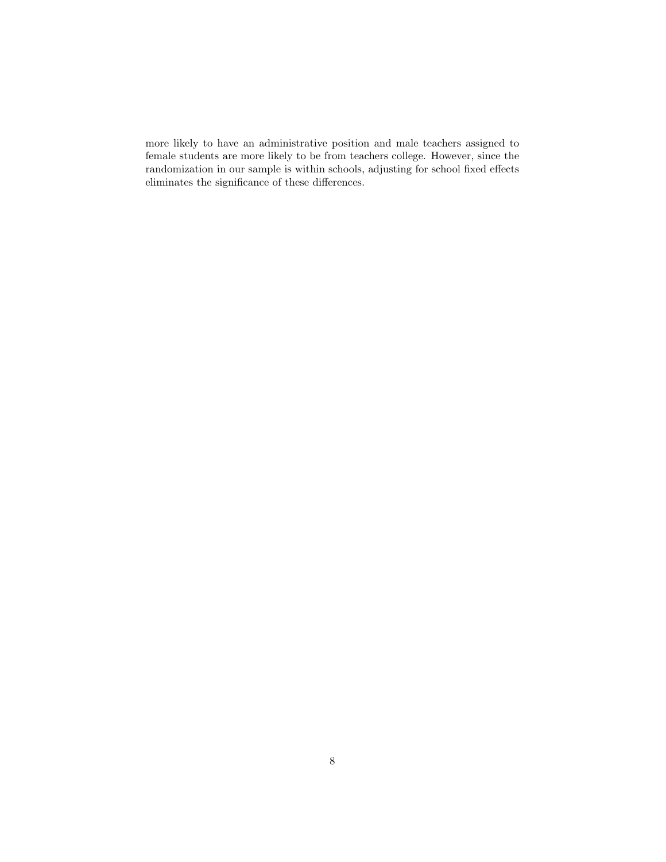more likely to have an administrative position and male teachers assigned to female students are more likely to be from teachers college. However, since the randomization in our sample is within schools, adjusting for school fixed effects eliminates the significance of these differences.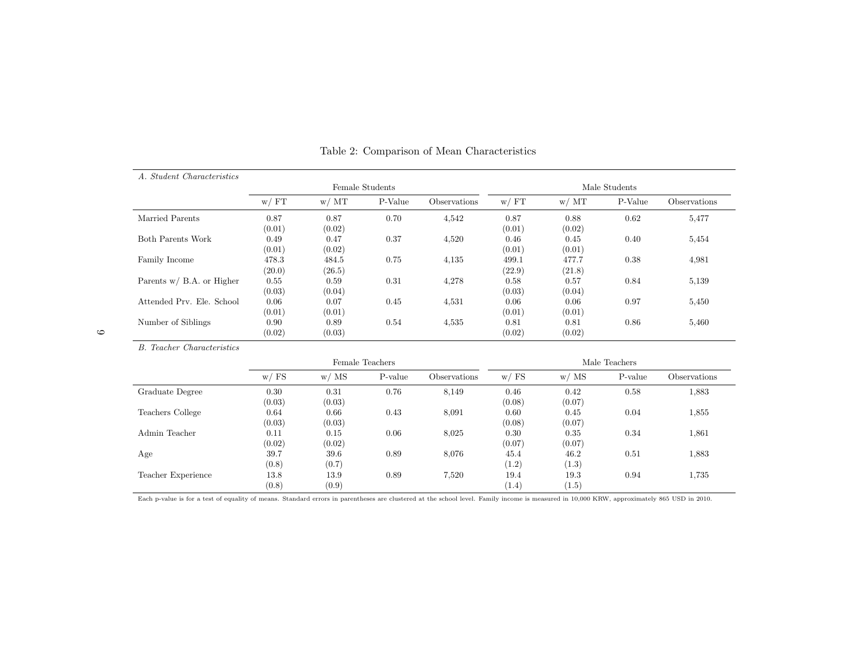| A. Student Characteristics   |                 | Female Students |         |              |                 | Male Students   |         |              |  |
|------------------------------|-----------------|-----------------|---------|--------------|-----------------|-----------------|---------|--------------|--|
|                              | w / FT          | w/MT            | P-Value | Observations | w / FT          | w/MT            | P-Value | Observations |  |
| Married Parents              | 0.87<br>(0.01)  | 0.87<br>(0.02)  | 0.70    | 4,542        | 0.87<br>(0.01)  | 0.88<br>(0.02)  | 0.62    | 5.477        |  |
| Both Parents Work            | 0.49<br>(0.01)  | 0.47<br>(0.02)  | 0.37    | 4,520        | 0.46<br>(0.01)  | 0.45<br>(0.01)  | 0.40    | 5.454        |  |
| Family Income                | 478.3<br>(20.0) | 484.5<br>(26.5) | 0.75    | 4.135        | 499.1<br>(22.9) | 477.7<br>(21.8) | 0.38    | 4,981        |  |
| Parents $w / B.A.$ or Higher | 0.55<br>(0.03)  | 0.59<br>(0.04)  | 0.31    | 4,278        | 0.58<br>(0.03)  | 0.57<br>(0.04)  | 0.84    | 5.139        |  |
| Attended Prv. Ele. School    | 0.06<br>(0.01)  | 0.07<br>(0.01)  | 0.45    | 4,531        | 0.06<br>(0.01)  | 0.06<br>(0.01)  | 0.97    | 5.450        |  |
| Number of Siblings           | 0.90<br>(0.02)  | 0.89<br>(0.03)  | 0.54    | 4,535        | 0.81<br>(0.02)  | 0.81<br>(0.02)  | 0.86    | 5.460        |  |

<span id="page-8-0"></span>Table 2: Comparison of Mean Characteristics

B. Teacher Characteristics

|                    | Female Teachers |                |         | Male Teachers |                |                |         |              |
|--------------------|-----------------|----------------|---------|---------------|----------------|----------------|---------|--------------|
|                    | w / FS          | w/MS           | P-value | Observations  | w/FS           | w/MS           | P-value | Observations |
| Graduate Degree    | 0.30<br>(0.03)  | 0.31<br>(0.03) | 0.76    | 8,149         | 0.46<br>(0.08) | 0.42<br>(0.07) | 0.58    | 1,883        |
| Teachers College   | 0.64<br>(0.03)  | 0.66<br>(0.03) | 0.43    | 8,091         | 0.60<br>(0.08) | 0.45<br>(0.07) | 0.04    | 1,855        |
| Admin Teacher      | 0.11<br>(0.02)  | 0.15<br>(0.02) | 0.06    | 8,025         | 0.30<br>(0.07) | 0.35<br>(0.07) | 0.34    | 1,861        |
| Age                | 39.7<br>(0.8)   | 39.6<br>(0.7)  | 0.89    | 8.076         | 45.4<br>(1.2)  | 46.2<br>(1.3)  | 0.51    | 1,883        |
| Teacher Experience | 13.8<br>(0.8)   | 13.9<br>(0.9)  | 0.89    | 7,520         | 19.4<br>(1.4)  | 19.3<br>(1.5)  | 0.94    | 1,735        |

Each p-value is for <sup>a</sup> test of equality of means. Standard errors in parentheses are clustered at the school level. Family income is measured in 10,000 KRW, approximately 865 USD in 2010.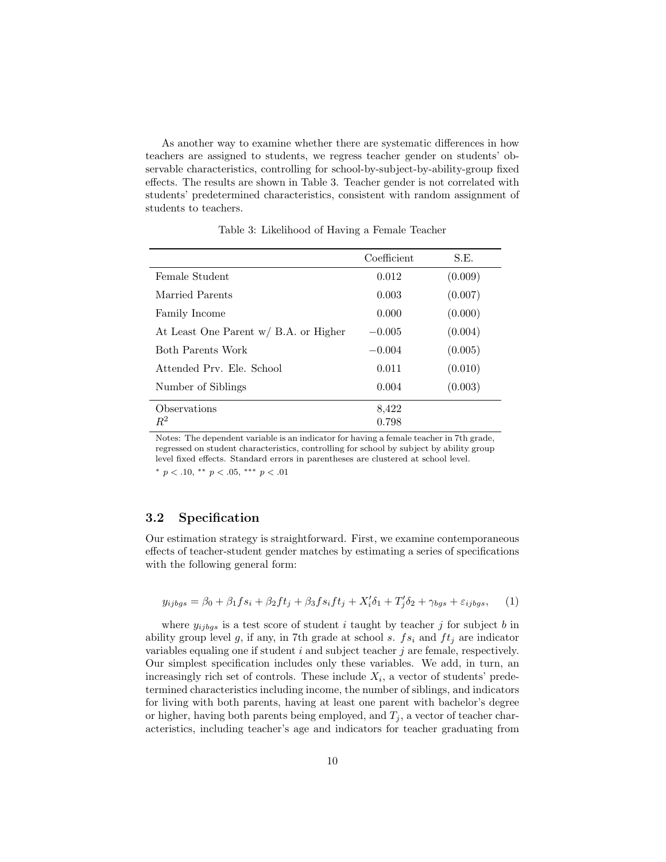As another way to examine whether there are systematic differences in how teachers are assigned to students, we regress teacher gender on students' observable characteristics, controlling for school-by-subject-by-ability-group fixed effects. The results are shown in Table [3.](#page-9-1) Teacher gender is not correlated with students' predetermined characteristics, consistent with random assignment of students to teachers.

<span id="page-9-1"></span>

|                                       | Coefficient | S.E.    |
|---------------------------------------|-------------|---------|
| Female Student                        | 0.012       | (0.009) |
| Married Parents                       | 0.003       | (0.007) |
| Family Income                         | 0.000       | (0.000) |
| At Least One Parent w/ B.A. or Higher | $-0.005$    | (0.004) |
| Both Parents Work                     | $-0.004$    | (0.005) |
| Attended Prv. Ele. School             | 0.011       | (0.010) |
| Number of Siblings                    | 0.004       | (0.003) |
| Observations                          | 8,422       |         |
| $R^2$                                 | 0.798       |         |

Table 3: Likelihood of Having a Female Teacher

Notes: The dependent variable is an indicator for having a female teacher in 7th grade, regressed on student characteristics, controlling for school by subject by ability group level fixed effects. Standard errors in parentheses are clustered at school level. \*  $p < .10,$  \*\*  $p < .05,$  \*\*\*  $p < .01$ 

# <span id="page-9-0"></span>3.2 Specification

Our estimation strategy is straightforward. First, we examine contemporaneous effects of teacher-student gender matches by estimating a series of specifications with the following general form:

$$
y_{ijbgs} = \beta_0 + \beta_1 fs_i + \beta_2 ft_j + \beta_3 fs_i ft_j + X_i' \delta_1 + T_j' \delta_2 + \gamma_{bgs} + \varepsilon_{ijbgs}, \tag{1}
$$

where  $y_{ijbqs}$  is a test score of student i taught by teacher j for subject b in ability group level g, if any, in 7th grade at school s.  $fs<sub>i</sub>$  and  $ft<sub>j</sub>$  are indicator variables equaling one if student  $i$  and subject teacher  $j$  are female, respectively. Our simplest specification includes only these variables. We add, in turn, an increasingly rich set of controls. These include  $X_i$ , a vector of students' predetermined characteristics including income, the number of siblings, and indicators for living with both parents, having at least one parent with bachelor's degree or higher, having both parents being employed, and  $T_j$ , a vector of teacher characteristics, including teacher's age and indicators for teacher graduating from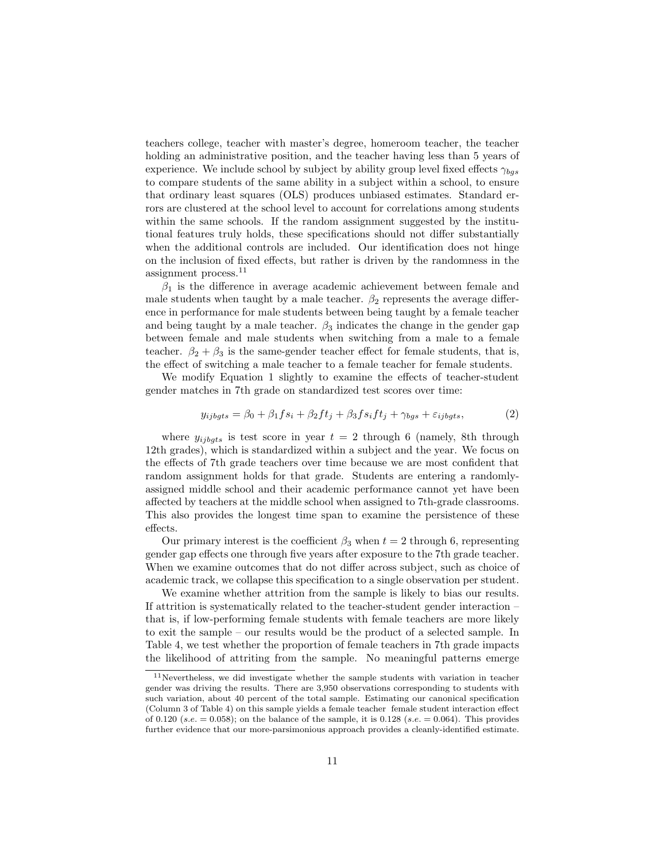teachers college, teacher with master's degree, homeroom teacher, the teacher holding an administrative position, and the teacher having less than 5 years of experience. We include school by subject by ability group level fixed effects  $\gamma_{bas}$ to compare students of the same ability in a subject within a school, to ensure that ordinary least squares (OLS) produces unbiased estimates. Standard errors are clustered at the school level to account for correlations among students within the same schools. If the random assignment suggested by the institutional features truly holds, these specifications should not differ substantially when the additional controls are included. Our identification does not hinge on the inclusion of fixed effects, but rather is driven by the randomness in the assignment process.[11](#page-10-0)

 $\beta_1$  is the difference in average academic achievement between female and male students when taught by a male teacher.  $\beta_2$  represents the average difference in performance for male students between being taught by a female teacher and being taught by a male teacher.  $\beta_3$  indicates the change in the gender gap between female and male students when switching from a male to a female teacher.  $\beta_2 + \beta_3$  is the same-gender teacher effect for female students, that is, the effect of switching a male teacher to a female teacher for female students.

We modify Equation 1 slightly to examine the effects of teacher-student gender matches in 7th grade on standardized test scores over time:

$$
y_{ijbgts} = \beta_0 + \beta_1 fs_i + \beta_2 ft_j + \beta_3 fs_i ft_j + \gamma_{bgs} + \varepsilon_{ijbgts},\tag{2}
$$

where  $y_{ijbqts}$  is test score in year  $t = 2$  through 6 (namely, 8th through 12th grades), which is standardized within a subject and the year. We focus on the effects of 7th grade teachers over time because we are most confident that random assignment holds for that grade. Students are entering a randomlyassigned middle school and their academic performance cannot yet have been affected by teachers at the middle school when assigned to 7th-grade classrooms. This also provides the longest time span to examine the persistence of these effects.

Our primary interest is the coefficient  $\beta_3$  when  $t = 2$  through 6, representing gender gap effects one through five years after exposure to the 7th grade teacher. When we examine outcomes that do not differ across subject, such as choice of academic track, we collapse this specification to a single observation per student.

We examine whether attrition from the sample is likely to bias our results. If attrition is systematically related to the teacher-student gender interaction – that is, if low-performing female students with female teachers are more likely to exit the sample – our results would be the product of a selected sample. In Table [4,](#page-11-0) we test whether the proportion of female teachers in 7th grade impacts the likelihood of attriting from the sample. No meaningful patterns emerge

<span id="page-10-0"></span> $11$ Nevertheless, we did investigate whether the sample students with variation in teacher gender was driving the results. There are 3,950 observations corresponding to students with such variation, about 40 percent of the total sample. Estimating our canonical specification (Column 3 of Table 4) on this sample yields a female teacher female student interaction effect of 0.120 (s.e.  $= 0.058$ ); on the balance of the sample, it is 0.128 (s.e.  $= 0.064$ ). This provides further evidence that our more-parsimonious approach provides a cleanly-identified estimate.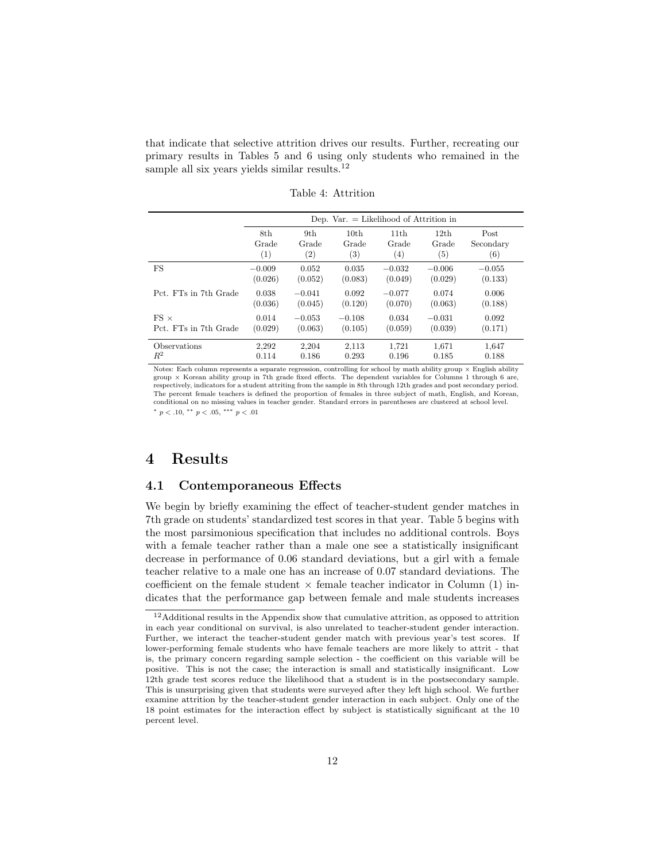that indicate that selective attrition drives our results. Further, recreating our primary results in Tables [5](#page-13-0) and [6](#page-14-0) using only students who remained in the sample all six years yields similar results.<sup>[12](#page-11-1)</sup>

<span id="page-11-0"></span>

|                       |          | Dep. Var. $=$ Likelihood of Attrition in |                  |          |                  |           |  |  |  |
|-----------------------|----------|------------------------------------------|------------------|----------|------------------|-----------|--|--|--|
|                       | 8th      | 9th                                      | 10 <sub>th</sub> | 11th     | 12 <sub>th</sub> | Post      |  |  |  |
|                       | Grade    | Grade                                    | Grade            | Grade    | Grade            | Secondary |  |  |  |
|                       | (1)      | $\left( 2\right)$                        | (3)              | (4)      | (5)              | (6)       |  |  |  |
| FS                    | $-0.009$ | 0.052                                    | 0.035            | $-0.032$ | $-0.006$         | $-0.055$  |  |  |  |
|                       | (0.026)  | (0.052)                                  | (0.083)          | (0.049)  | (0.029)          | (0.133)   |  |  |  |
| Pct. FTs in 7th Grade | 0.038    | $-0.041$                                 | 0.092            | $-0.077$ | 0.074            | 0.006     |  |  |  |
|                       | (0.036)  | (0.045)                                  | (0.120)          | (0.070)  | (0.063)          | (0.188)   |  |  |  |
| $FS \times$           | 0.014    | $-0.053$                                 | $-0.108$         | 0.034    | $-0.031$         | 0.092     |  |  |  |
| Pct. FTs in 7th Grade | (0.029)  | (0.063)                                  | (0.105)          | (0.059)  | (0.039)          | (0.171)   |  |  |  |
| Observations          | 2,292    | 2,204                                    | 2,113            | 1,721    | 1,671            | 1,647     |  |  |  |
| $\,R^2$               | 0.114    | 0.186                                    | 0.293            | 0.196    | 0.185            | 0.188     |  |  |  |

Table 4: Attrition

Notes: Each column represents a separate regression, controlling for school by math ability group  $\times$  English ability group × Korean ability group in 7th grade fixed effects. The dependent variables for Columns 1 through 6 are, respectively, indicators for a student attriting from the sample in 8th through 12th grades and post secondary period. The percent female teachers is defined the proportion of females in three subject of math, English, and Korean, conditional on no missing values in teacher gender. Standard errors in parentheses are clustered at school level. \*  $p < .10,$  \*\*  $p < .05,$  \*\*\*  $p < .01$ 

## 4 Results

#### 4.1 Contemporaneous Effects

We begin by briefly examining the effect of teacher-student gender matches in 7th grade on students' standardized test scores in that year. Table [5](#page-13-0) begins with the most parsimonious specification that includes no additional controls. Boys with a female teacher rather than a male one see a statistically insignificant decrease in performance of 0.06 standard deviations, but a girl with a female teacher relative to a male one has an increase of 0.07 standard deviations. The coefficient on the female student  $\times$  female teacher indicator in Column (1) indicates that the performance gap between female and male students increases

<span id="page-11-1"></span> $^{12}\rm{Additional}$  results in the Appendix show that cumulative attrition, as opposed to attrition in each year conditional on survival, is also unrelated to teacher-student gender interaction. Further, we interact the teacher-student gender match with previous year's test scores. If lower-performing female students who have female teachers are more likely to attrit - that is, the primary concern regarding sample selection - the coefficient on this variable will be positive. This is not the case; the interaction is small and statistically insignificant. Low 12th grade test scores reduce the likelihood that a student is in the postsecondary sample. This is unsurprising given that students were surveyed after they left high school. We further examine attrition by the teacher-student gender interaction in each subject. Only one of the 18 point estimates for the interaction effect by subject is statistically significant at the 10 percent level.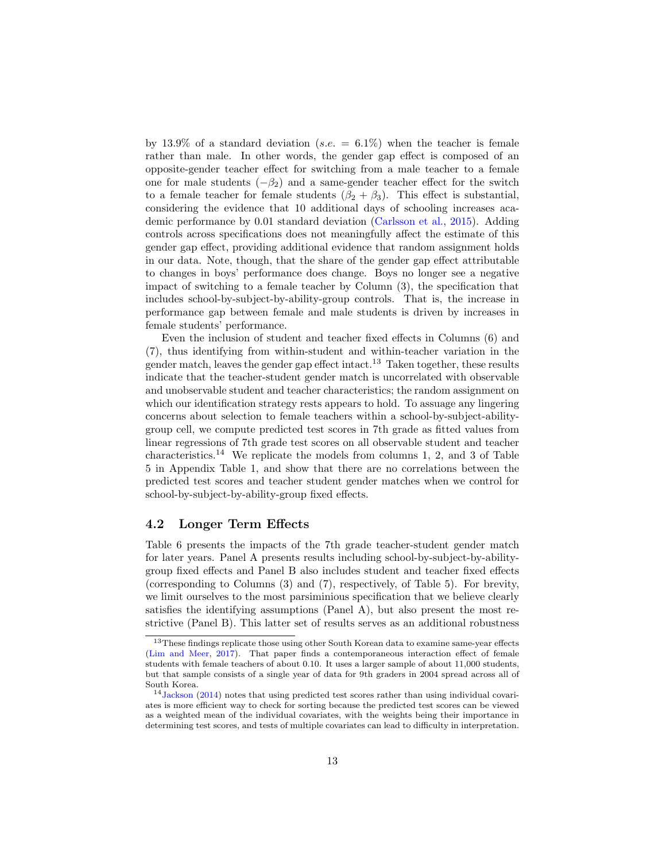by 13.9% of a standard deviation (s.e.  $= 6.1\%$ ) when the teacher is female rather than male. In other words, the gender gap effect is composed of an opposite-gender teacher effect for switching from a male teacher to a female one for male students  $(-\beta_2)$  and a same-gender teacher effect for the switch to a female teacher for female students  $(\beta_2 + \beta_3)$ . This effect is substantial, considering the evidence that 10 additional days of schooling increases academic performance by 0.01 standard deviation [\(Carlsson et al.,](#page-24-11) [2015\)](#page-24-11). Adding controls across specifications does not meaningfully affect the estimate of this gender gap effect, providing additional evidence that random assignment holds in our data. Note, though, that the share of the gender gap effect attributable to changes in boys' performance does change. Boys no longer see a negative impact of switching to a female teacher by Column (3), the specification that includes school-by-subject-by-ability-group controls. That is, the increase in performance gap between female and male students is driven by increases in female students' performance.

Even the inclusion of student and teacher fixed effects in Columns (6) and (7), thus identifying from within-student and within-teacher variation in the gender match, leaves the gender gap effect intact.<sup>[13](#page-12-0)</sup> Taken together, these results indicate that the teacher-student gender match is uncorrelated with observable and unobservable student and teacher characteristics; the random assignment on which our identification strategy rests appears to hold. To assuage any lingering concerns about selection to female teachers within a school-by-subject-abilitygroup cell, we compute predicted test scores in 7th grade as fitted values from linear regressions of 7th grade test scores on all observable student and teacher characteristics.<sup>[14](#page-12-1)</sup> We replicate the models from columns 1, 2, and 3 of Table [5](#page-13-0) in Appendix Table 1, and show that there are no correlations between the predicted test scores and teacher student gender matches when we control for school-by-subject-by-ability-group fixed effects.

### 4.2 Longer Term Effects

Table [6](#page-14-0) presents the impacts of the 7th grade teacher-student gender match for later years. Panel A presents results including school-by-subject-by-abilitygroup fixed effects and Panel B also includes student and teacher fixed effects (corresponding to Columns (3) and (7), respectively, of Table [5\)](#page-13-0). For brevity, we limit ourselves to the most parsiminious specification that we believe clearly satisfies the identifying assumptions (Panel A), but also present the most restrictive (Panel B). This latter set of results serves as an additional robustness

<span id="page-12-0"></span><sup>13</sup>These findings replicate those using other South Korean data to examine same-year effects [\(Lim and Meer,](#page-25-0) [2017\)](#page-25-0). That paper finds a contemporaneous interaction effect of female students with female teachers of about 0.10. It uses a larger sample of about 11,000 students, but that sample consists of a single year of data for 9th graders in 2004 spread across all of South Korea.

<span id="page-12-1"></span><sup>14</sup>[Jackson](#page-25-8) [\(2014\)](#page-25-8) notes that using predicted test scores rather than using individual covariates is more efficient way to check for sorting because the predicted test scores can be viewed as a weighted mean of the individual covariates, with the weights being their importance in determining test scores, and tests of multiple covariates can lead to difficulty in interpretation.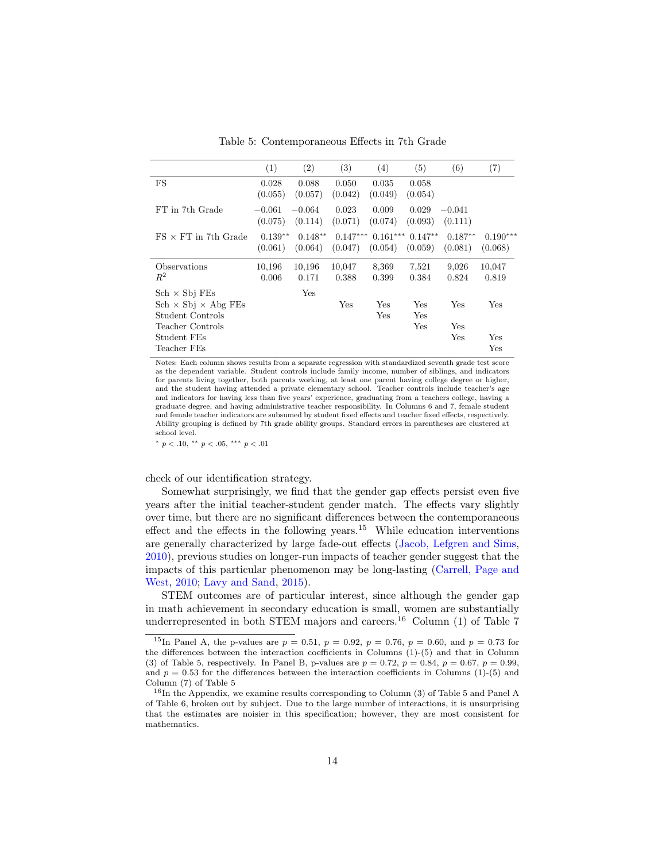<span id="page-13-0"></span> $(1)$   $(2)$   $(3)$   $(4)$   $(5)$   $(6)$   $(7)$ FS 0.028 0.088 0.050 0.035 0.058 (0.055) (0.057) (0.042) (0.049) (0.054) FT in 7th Grade  $-0.061$   $-0.064$  0.023 0.009 0.029  $-0.041$ (0.075) (0.114) (0.071) (0.074) (0.093) (0.111) FS × FT in 7th Grade 0.139∗∗ 0.148∗∗ 0.147∗∗∗ 0.161∗∗∗ 0.147∗∗ 0.187∗∗ 0.190∗∗∗ (0.061) (0.064) (0.047) (0.054) (0.059) (0.081) (0.068) Observations 10,196 10,196 10,047 8,369 7,521 9,026 10,047  $R^2$  0.006 0.171 0.388 0.399 0.384 0.824 0.819  $Sch \times Sbj$  FEs Yes  $Sch \times Sbj \times Abg FEs$  Yes Yes Yes Yes Yes Yes Student Controls Yes Yes Teacher Controls Yes Yes Student FEs Yes Yes Yes Teacher FEs Yes

Table 5: Contemporaneous Effects in 7th Grade

Notes: Each column shows results from a separate regression with standardized seventh grade test score as the dependent variable. Student controls include family income, number of siblings, and indicators for parents living together, both parents working, at least one parent having college degree or higher, and the student having attended a private elementary school. Teacher controls include teacher's age and indicators for having less than five years' experience, graduating from a teachers college, having a graduate degree, and having administrative teacher responsibility. In Columns 6 and 7, female student and female teacher indicators are subsumed by student fixed effects and teacher fixed effects, respectively. Ability grouping is defined by 7th grade ability groups. Standard errors in parentheses are clustered at school level.

\*  $p < .10,$  \*\*  $p < .05,$  \*\*\*  $p < .01$ 

check of our identification strategy.

Somewhat surprisingly, we find that the gender gap effects persist even five years after the initial teacher-student gender match. The effects vary slightly over time, but there are no significant differences between the contemporaneous effect and the effects in the following years.<sup>[15](#page-13-1)</sup> While education interventions are generally characterized by large fade-out effects [\(Jacob, Lefgren and Sims,](#page-25-4) [2010\)](#page-25-4), previous studies on longer-run impacts of teacher gender suggest that the impacts of this particular phenomenon may be long-lasting [\(Carrell, Page and](#page-24-4) [West,](#page-24-4) [2010;](#page-24-4) [Lavy and Sand,](#page-25-1) [2015\)](#page-25-1).

STEM outcomes are of particular interest, since although the gender gap in math achievement in secondary education is small, women are substantially underrepresented in both STEM majors and careers.<sup>[16](#page-13-2)</sup> Column  $(1)$  of Table [7](#page-15-0)

<span id="page-13-1"></span><sup>&</sup>lt;sup>15</sup>In Panel A, the p-values are  $p = 0.51$ ,  $p = 0.92$ ,  $p = 0.76$ ,  $p = 0.60$ , and  $p = 0.73$  for the differences between the interaction coefficients in Columns (1)-(5) and that in Column (3) of Table [5,](#page-13-0) respectively. In Panel B, p-values are  $p = 0.72$ ,  $p = 0.84$ ,  $p = 0.67$ ,  $p = 0.99$ , and  $p = 0.53$  for the differences between the interaction coefficients in Columns (1)-(5) and Column (7) of Table [5](#page-13-0)

<span id="page-13-2"></span><sup>16</sup>In the Appendix, we examine results corresponding to Column (3) of Table [5](#page-13-0) and Panel A of Table [6,](#page-14-0) broken out by subject. Due to the large number of interactions, it is unsurprising that the estimates are noisier in this specification; however, they are most consistent for mathematics.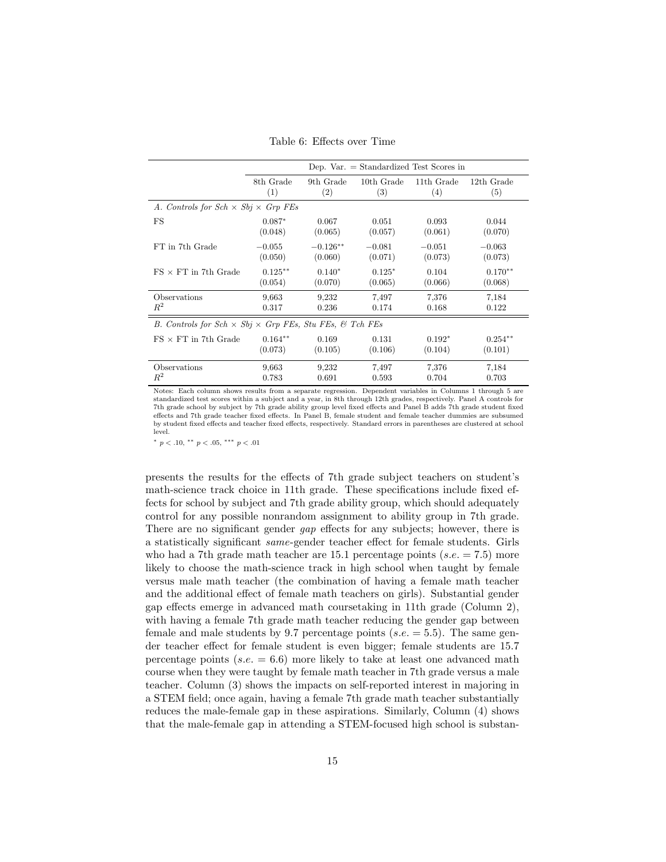| Table 6: Effects over Time |  |
|----------------------------|--|
|----------------------------|--|

<span id="page-14-0"></span>

|                                                                     | Dep. $Var = Standardized Test$ Scores in |            |            |            |            |  |  |  |  |
|---------------------------------------------------------------------|------------------------------------------|------------|------------|------------|------------|--|--|--|--|
|                                                                     | 8th Grade                                | 9th Grade  | 10th Grade | 11th Grade | 12th Grade |  |  |  |  |
|                                                                     | (1)                                      | (2)        | (3)        | (4)        | (5)        |  |  |  |  |
| A. Controls for $Sch \times Sbj \times Grp$ FEs                     |                                          |            |            |            |            |  |  |  |  |
| FS                                                                  | $0.087*$                                 | 0.067      | 0.051      | 0.093      | 0.044      |  |  |  |  |
|                                                                     | (0.048)                                  | (0.065)    | (0.057)    | (0.061)    | (0.070)    |  |  |  |  |
| FT in 7th Grade                                                     | $-0.055$                                 | $-0.126**$ | $-0.081$   | $-0.051$   | $-0.063$   |  |  |  |  |
|                                                                     | (0.050)                                  | (0.060)    | (0.071)    | (0.073)    | (0.073)    |  |  |  |  |
| $FS \times FT$ in 7th Grade                                         | $0.125***$                               | $0.140*$   | $0.125*$   | 0.104      | $0.170**$  |  |  |  |  |
|                                                                     | (0.054)                                  | (0.070)    | (0.065)    | (0.066)    | (0.068)    |  |  |  |  |
| Observations                                                        | 9,663                                    | 9,232      | 7.497      | 7,376      | 7,184      |  |  |  |  |
| $\mathbb{R}^2$                                                      | 0.317                                    | 0.236      | 0.174      | 0.168      | 0.122      |  |  |  |  |
| B. Controls for $Sch \times Sbj \times Grp$ FEs, Stu FEs, & Tch FEs |                                          |            |            |            |            |  |  |  |  |
| $FS \times FT$ in 7th Grade                                         | $0.164**$                                | 0.169      | 0.131      | $0.192*$   | $0.254**$  |  |  |  |  |
|                                                                     | (0.073)                                  | (0.105)    | (0.106)    | (0.104)    | (0.101)    |  |  |  |  |
| Observations                                                        | 9,663                                    | 9.232      | 7.497      | 7,376      | 7.184      |  |  |  |  |
| $\mathbb{R}^2$                                                      | 0.783                                    | 0.691      | 0.593      | 0.704      | 0.703      |  |  |  |  |

Notes: Each column shows results from a separate regression. Dependent variables in Columns 1 through 5 are standardized test scores within a subject and a year, in 8th through 12th grades, respectively. Panel A controls for 7th grade school by subject by 7th grade ability group level fixed effects and Panel B adds 7th grade student fixed effects and 7th grade teacher fixed effects. In Panel B, female student and female teacher dummies are subsumed by student fixed effects and teacher fixed effects, respectively. Standard errors in parentheses are clustered at school level.

<sup>∗</sup> p < .10, ∗∗ p < .05, ∗∗∗ p < .01

presents the results for the effects of 7th grade subject teachers on student's math-science track choice in 11th grade. These specifications include fixed effects for school by subject and 7th grade ability group, which should adequately control for any possible nonrandom assignment to ability group in 7th grade. There are no significant gender *gap* effects for any subjects; however, there is a statistically significant same-gender teacher effect for female students. Girls who had a 7th grade math teacher are 15.1 percentage points  $(s.e. = 7.5)$  more likely to choose the math-science track in high school when taught by female versus male math teacher (the combination of having a female math teacher and the additional effect of female math teachers on girls). Substantial gender gap effects emerge in advanced math coursetaking in 11th grade (Column 2), with having a female 7th grade math teacher reducing the gender gap between female and male students by 9.7 percentage points ( $s.e. = 5.5$ ). The same gender teacher effect for female student is even bigger; female students are 15.7 percentage points ( $s.e. = 6.6$ ) more likely to take at least one advanced math course when they were taught by female math teacher in 7th grade versus a male teacher. Column (3) shows the impacts on self-reported interest in majoring in a STEM field; once again, having a female 7th grade math teacher substantially reduces the male-female gap in these aspirations. Similarly, Column (4) shows that the male-female gap in attending a STEM-focused high school is substan-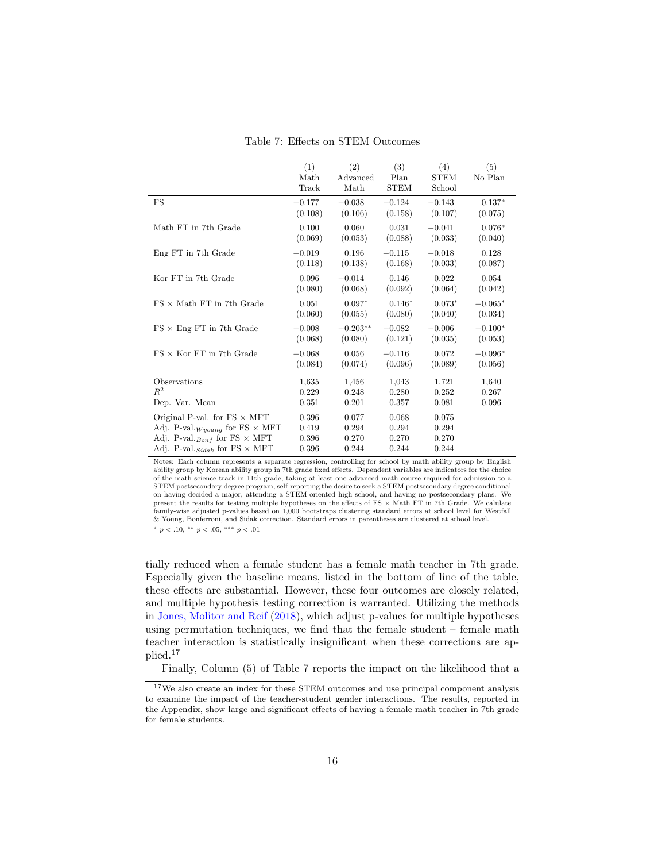<span id="page-15-0"></span>

|                                                    | (1)<br>Math<br>Track | (2)<br>Advanced<br>Math | (3)<br>Plan<br><b>STEM</b> | (4)<br><b>STEM</b><br>School | (5)<br>No Plan |
|----------------------------------------------------|----------------------|-------------------------|----------------------------|------------------------------|----------------|
| FS                                                 | $-0.177$             | $-0.038$                | $-0.124$                   | $-0.143$                     | $0.137*$       |
|                                                    | (0.108)              | (0.106)                 | (0.158)                    | (0.107)                      | (0.075)        |
| Math FT in 7th Grade                               | 0.100                | 0.060                   | 0.031                      | $-0.041$                     | $0.076*$       |
|                                                    | (0.069)              | (0.053)                 | (0.088)                    | (0.033)                      | (0.040)        |
| Eng FT in 7th Grade                                | $-0.019$             | 0.196                   | $-0.115$                   | $-0.018$                     | 0.128          |
|                                                    | (0.118)              | (0.138)                 | (0.168)                    | (0.033)                      | (0.087)        |
| Kor FT in 7th Grade                                | 0.096                | $-0.014$                | 0.146                      | 0.022                        | 0.054          |
|                                                    | (0.080)              | (0.068)                 | (0.092)                    | (0.064)                      | (0.042)        |
| $FS \times$ Math FT in 7th Grade                   | 0.051                | $0.097*$                | $0.146*$                   | $0.073*$                     | $-0.065*$      |
|                                                    | (0.060)              | (0.055)                 | (0.080)                    | (0.040)                      | (0.034)        |
| $FS \times Eng$ FT in 7th Grade                    | $-0.008$             | $-0.203**$              | $-0.082$                   | $-0.006$                     | $-0.100*$      |
|                                                    | (0.068)              | (0.080)                 | (0.121)                    | (0.035)                      | (0.053)        |
| $FS \times$ Kor FT in 7th Grade                    | $-0.068$             | 0.056                   | $-0.116$                   | 0.072                        | $-0.096*$      |
|                                                    | (0.084)              | (0.074)                 | (0.096)                    | (0.089)                      | (0.056)        |
| Observations                                       | 1,635                | 1,456                   | 1,043                      | 1,721                        | 1,640          |
| $R^2$                                              | 0.229                | 0.248                   | 0.280                      | 0.252                        | 0.267          |
| Dep. Var. Mean                                     | 0.351                | 0.201                   | 0.357                      | 0.081                        | 0.096          |
| Original P-val. for $FS \times MFT$                | 0.396                | 0.077                   | 0.068                      | 0.075                        |                |
| Adj. P-val. $_{W\text{young}}$ for FS $\times$ MFT | 0.419                | 0.294                   | 0.294                      | 0.294                        |                |
| Adj. P-val. $_{Bonf}$ for FS $\times$ MFT          | 0.396                | 0.270                   | 0.270                      | 0.270                        |                |
| Adj. P-val. $_{\text{Sidak}}$ for FS $\times$ MFT  | 0.396                | 0.244                   | 0.244                      | 0.244                        |                |

Table 7: Effects on STEM Outcomes

Notes: Each column represents a separate regression, controlling for school by math ability group by English ability group by Korean ability group in 7th grade fixed effects. Dependent variables are indicators for the choice of the math-science track in 11th grade, taking at least one advanced math course required for admission to a STEM postsecondary degree program, self-reporting the desire to seek a STEM postsecondary degree conditional on having decided a major, attending a STEM-oriented high school, and having no postsecondary plans. We present the results for testing multiple hypotheses on the effects of FS × Math FT in 7th Grade. We calulate family-wise adjusted p-values based on 1,000 bootstraps clustering standard errors at school level for Westfall & Young, Bonferroni, and Sidak correction. Standard errors in parentheses are clustered at school level.

<sup>∗</sup> p < .10, ∗∗ p < .05, ∗∗∗ p < .01

tially reduced when a female student has a female math teacher in 7th grade. Especially given the baseline means, listed in the bottom of line of the table, these effects are substantial. However, these four outcomes are closely related, and multiple hypothesis testing correction is warranted. Utilizing the methods in [Jones, Molitor and Reif](#page-25-11) [\(2018\)](#page-25-11), which adjust p-values for multiple hypotheses using permutation techniques, we find that the female student  $-$  female math teacher interaction is statistically insignificant when these corrections are applied.[17](#page-15-1)

<span id="page-15-1"></span>Finally, Column (5) of Table [7](#page-15-0) reports the impact on the likelihood that a

<sup>17</sup>We also create an index for these STEM outcomes and use principal component analysis to examine the impact of the teacher-student gender interactions. The results, reported in the Appendix, show large and significant effects of having a female math teacher in 7th grade for female students.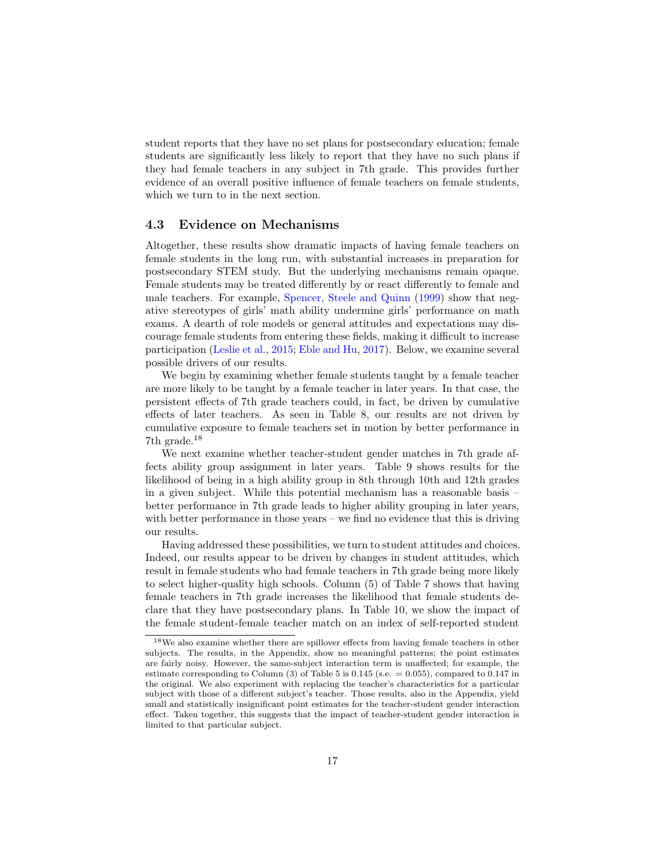student reports that they have no set plans for postsecondary education; female students are significantly less likely to report that they have no such plans if they had female teachers in any subject in 7th grade. This provides further evidence of an overall positive influence of female teachers on female students, which we turn to in the next section.

### 4.3 Evidence on Mechanisms

Altogether, these results show dramatic impacts of having female teachers on female students in the long run, with substantial increases in preparation for postsecondary STEM study. But the underlying mechanisms remain opaque. Female students may be treated differently by or react differently to female and male teachers. For example, [Spencer, Steele and Quinn](#page-26-5) [\(1999\)](#page-26-5) show that negative stereotypes of girls' math ability undermine girls' performance on math exams. A dearth of role models or general attitudes and expectations may discourage female students from entering these fields, making it difficult to increase participation [\(Leslie et al.,](#page-25-12) [2015;](#page-25-12) [Eble and Hu,](#page-24-12) [2017\)](#page-24-12). Below, we examine several possible drivers of our results.

We begin by examining whether female students taught by a female teacher are more likely to be taught by a female teacher in later years. In that case, the persistent effects of 7th grade teachers could, in fact, be driven by cumulative effects of later teachers. As seen in Table [8,](#page-17-0) our results are not driven by cumulative exposure to female teachers set in motion by better performance in 7th grade.[18](#page-16-0)

We next examine whether teacher-student gender matches in 7th grade affects ability group assignment in later years. Table [9](#page-17-1) shows results for the likelihood of being in a high ability group in 8th through 10th and 12th grades in a given subject. While this potential mechanism has a reasonable basis – better performance in 7th grade leads to higher ability grouping in later years, with better performance in those years – we find no evidence that this is driving our results.

Having addressed these possibilities, we turn to student attitudes and choices. Indeed, our results appear to be driven by changes in student attitudes, which result in female students who had female teachers in 7th grade being more likely to select higher-quality high schools. Column (5) of Table [7](#page-15-0) shows that having female teachers in 7th grade increases the likelihood that female students declare that they have postsecondary plans. In Table [10,](#page-18-0) we show the impact of the female student-female teacher match on an index of self-reported student

<span id="page-16-0"></span><sup>18</sup>We also examine whether there are spillover effects from having female teachers in other subjects. The results, in the Appendix, show no meaningful patterns; the point estimates are fairly noisy. However, the same-subject interaction term is unaffected; for example, the estimate corresponding to Column  $(3)$  of Table [5](#page-13-0) is 0.145 (s.e.  $= 0.055$ ), compared to 0.147 in the original. We also experiment with replacing the teacher's characteristics for a particular subject with those of a different subject's teacher. Those results, also in the Appendix, yield small and statistically insignificant point estimates for the teacher-student gender interaction effect. Taken together, this suggests that the impact of teacher-student gender interaction is limited to that particular subject.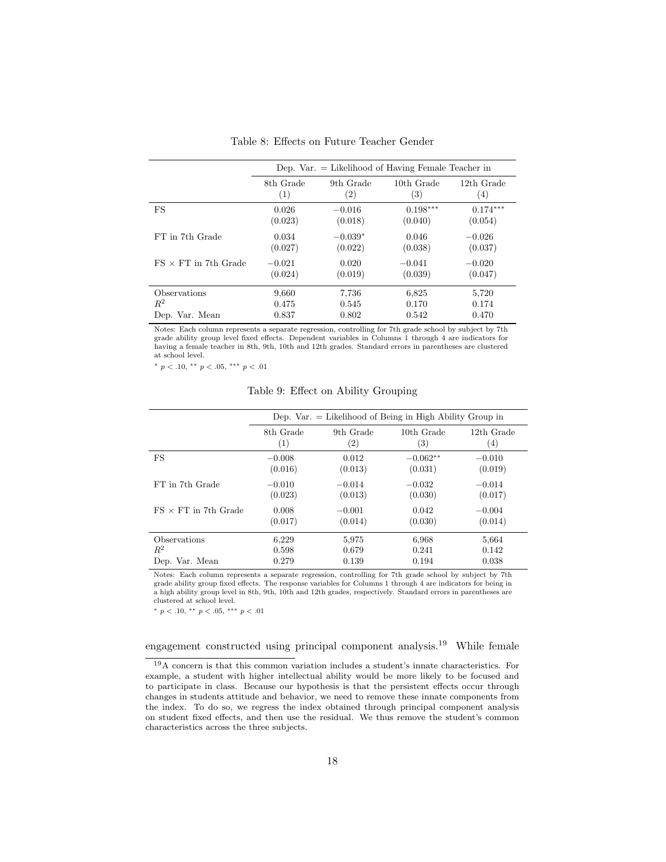<span id="page-17-0"></span>

|                             | Dep. Var. $=$ Likelihood of Having Female Teacher in |                   |            |            |  |  |  |  |
|-----------------------------|------------------------------------------------------|-------------------|------------|------------|--|--|--|--|
|                             | 8th Grade                                            | 9th Grade         | 10th Grade | 12th Grade |  |  |  |  |
|                             | (1)                                                  | $\left( 2\right)$ | (3)        | (4)        |  |  |  |  |
| FS                          | 0.026                                                | $-0.016$          | $0.198***$ | $0.174***$ |  |  |  |  |
|                             | (0.023)                                              | (0.018)           | (0.040)    | (0.054)    |  |  |  |  |
| FT in 7th Grade             | 0.034                                                | $-0.039*$         | 0.046      | $-0.026$   |  |  |  |  |
|                             | (0.027)                                              | (0.022)           | (0.038)    | (0.037)    |  |  |  |  |
| $FS \times FT$ in 7th Grade | $-0.021$                                             | 0.020             | $-0.041$   | $-0.020$   |  |  |  |  |
|                             | (0.024)                                              | (0.019)           | (0.039)    | (0.047)    |  |  |  |  |
| <b>Observations</b>         | 9.660                                                | 7.736             | 6,825      | 5,720      |  |  |  |  |
| $R^2$                       | 0.475                                                | 0.545             | 0.170      | 0.174      |  |  |  |  |
| Dep. Var. Mean              | 0.837                                                | 0.802             | 0.542      | 0.470      |  |  |  |  |

Table 8: Effects on Future Teacher Gender

Notes: Each column represents a separate regression, controlling for 7th grade school by subject by 7th grade ability group level fixed effects. Dependent variables in Columns 1 through 4 are indicators for having a female teacher in 8th, 9th, 10th and 12th grades. Standard errors in parentheses are clustered at school level.

<span id="page-17-1"></span><sup>∗</sup> p < .10, ∗∗ p < .05, ∗∗∗ p < .01

Table 9: Effect on Ability Grouping

|                             |           |                   | Dep. Var. $=$ Likelihood of Being in High Ability Group in |                   |
|-----------------------------|-----------|-------------------|------------------------------------------------------------|-------------------|
|                             | 8th Grade | 9th Grade         | 10th Grade                                                 | 12th Grade        |
|                             | (1)       | $\left( 2\right)$ | $\left( 3\right)$                                          | $\left( 4\right)$ |
| FS                          | $-0.008$  | 0.012             | $-0.062**$                                                 | $-0.010$          |
|                             | (0.016)   | (0.013)           | (0.031)                                                    | (0.019)           |
| FT in 7th Grade             | $-0.010$  | $-0.014$          | $-0.032$                                                   | $-0.014$          |
|                             | (0.023)   | (0.013)           | (0.030)                                                    | (0.017)           |
| $FS \times FT$ in 7th Grade | 0.008     | $-0.001$          | 0.042                                                      | $-0.004$          |
|                             | (0.017)   | (0.014)           | (0.030)                                                    | (0.014)           |
| <b>Observations</b>         | 6,229     | 5,975             | 6,968                                                      | 5,664             |
| $R^2$                       | 0.598     | 0.679             | 0.241                                                      | 0.142             |
| Dep. Var. Mean              | 0.279     | 0.139             | 0.194                                                      | 0.038             |

Notes: Each column represents a separate regression, controlling for 7th grade school by subject by 7th grade ability group fixed effects. The response variables for Columns 1 through 4 are indicators for being in a high ability group level in 8th, 9th, 10th and 12th grades, respectively. Standard errors in parentheses are clustered at school level.

 $*$   $p$   $<$   $.10,$   $^{**}$   $p$   $<$   $.05,$   $^{***}$   $p$   $<$   $.01$ 

## engagement constructed using principal component analysis.[19](#page-17-2) While female

<span id="page-17-2"></span><sup>19</sup>A concern is that this common variation includes a student's innate characteristics. For example, a student with higher intellectual ability would be more likely to be focused and to participate in class. Because our hypothesis is that the persistent effects occur through changes in students attitude and behavior, we need to remove these innate components from the index. To do so, we regress the index obtained through principal component analysis on student fixed effects, and then use the residual. We thus remove the student's common characteristics across the three subjects.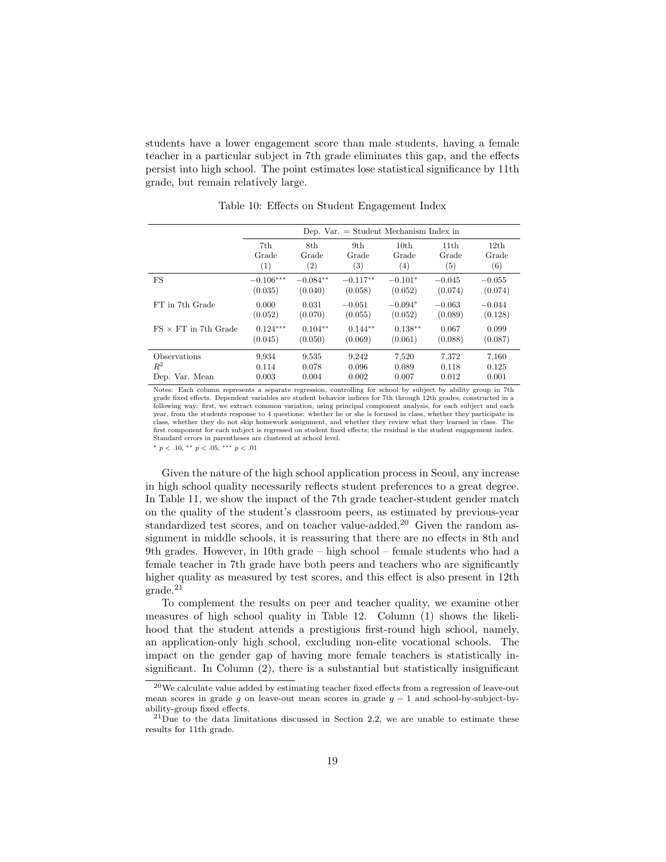students have a lower engagement score than male students, having a female teacher in a particular subject in 7th grade eliminates this gap, and the effects persist into high school. The point estimates lose statistical significance by 11th grade, but remain relatively large.

<span id="page-18-0"></span>

|                             |             | Dep. Var. $=$ Student Mechanism Index in |            |                  |                  |                  |  |  |  |
|-----------------------------|-------------|------------------------------------------|------------|------------------|------------------|------------------|--|--|--|
|                             | 7th         | 8th                                      | 9th        | 10 <sub>th</sub> | 11 <sub>th</sub> | 12 <sub>th</sub> |  |  |  |
|                             | Grade       | Grade                                    | Grade      | Grade            | Grade            | Grade            |  |  |  |
|                             | (1)         | (2)                                      | (3)        | (4)              | (5)              | (6)              |  |  |  |
| FS                          | $-0.106***$ | $-0.084**$                               | $-0.117**$ | $-0.101*$        | $-0.045$         | $-0.055$         |  |  |  |
|                             | (0.035)     | (0.040)                                  | (0.058)    | (0.052)          | (0.074)          | (0.074)          |  |  |  |
| FT in 7th Grade             | 0.000       | 0.031                                    | $-0.051$   | $-0.094*$        | $-0.063$         | $-0.044$         |  |  |  |
|                             | (0.052)     | (0.070)                                  | (0.055)    | (0.052)          | (0.089)          | (0.128)          |  |  |  |
| $FS \times FT$ in 7th Grade | $0.124***$  | $0.104**$                                | $0.144**$  | $0.138**$        | 0.067            | 0.099            |  |  |  |
|                             | (0.045)     | (0.050)                                  | (0.069)    | (0.061)          | (0.088)          | (0.087)          |  |  |  |
| <b>Observations</b>         | 9.934       | 9,535                                    | 9.242      | 7.520            | 7.372            | 7.160            |  |  |  |
| $R^2$                       | 0.114       | 0.078                                    | 0.096      | 0.089            | 0.118            | 0.125            |  |  |  |
| Dep. Var. Mean              | 0.003       | 0.004                                    | 0.002      | 0.007            | 0.012            | 0.001            |  |  |  |

Table 10: Effects on Student Engagement Index

Notes: Each column represents a separate regression, controlling for school by subject by ability group in 7th grade fixed effects. Dependent variables are student behavior indices for 7th through 12th grades, constructed in a following way: first, we extract common variation, using principal component analysis, for each subject and each year, from the students response to 4 questions: whether he or she is focused in class, whether they participate in class, whether they do not skip homework assignment, and whether they review what they learned in class. The first component for each subject is regressed on student fixed effects; the residual is the student engagement index. Standard errors in parentheses are clustered at school level.

<sup>∗</sup> p < .10, ∗∗ p < .05, ∗∗∗ p < .01

Given the nature of the high school application process in Seoul, any increase in high school quality necessarily reflects student preferences to a great degree. In Table [11,](#page-19-0) we show the impact of the 7th grade teacher-student gender match on the quality of the student's classroom peers, as estimated by previous-year standardized test scores, and on teacher value-added.<sup>[20](#page-18-1)</sup> Given the random assignment in middle schools, it is reassuring that there are no effects in 8th and 9th grades. However, in 10th grade – high school – female students who had a female teacher in 7th grade have both peers and teachers who are significantly higher quality as measured by test scores, and this effect is also present in 12th grade.[21](#page-18-2)

To complement the results on peer and teacher quality, we examine other measures of high school quality in Table [12.](#page-20-0) Column (1) shows the likelihood that the student attends a prestigious first-round high school, namely, an application-only high school, excluding non-elite vocational schools. The impact on the gender gap of having more female teachers is statistically insignificant. In Column (2), there is a substantial but statistically insignificant

<span id="page-18-1"></span><sup>20</sup>We calculate value added by estimating teacher fixed effects from a regression of leave-out mean scores in grade q on leave-out mean scores in grade  $q - 1$  and school-by-subject-byability-group fixed effects.

<span id="page-18-2"></span> $^{21}$ Due to the data limitations discussed in Section [2.2,](#page-4-1) we are unable to estimate these results for 11th grade.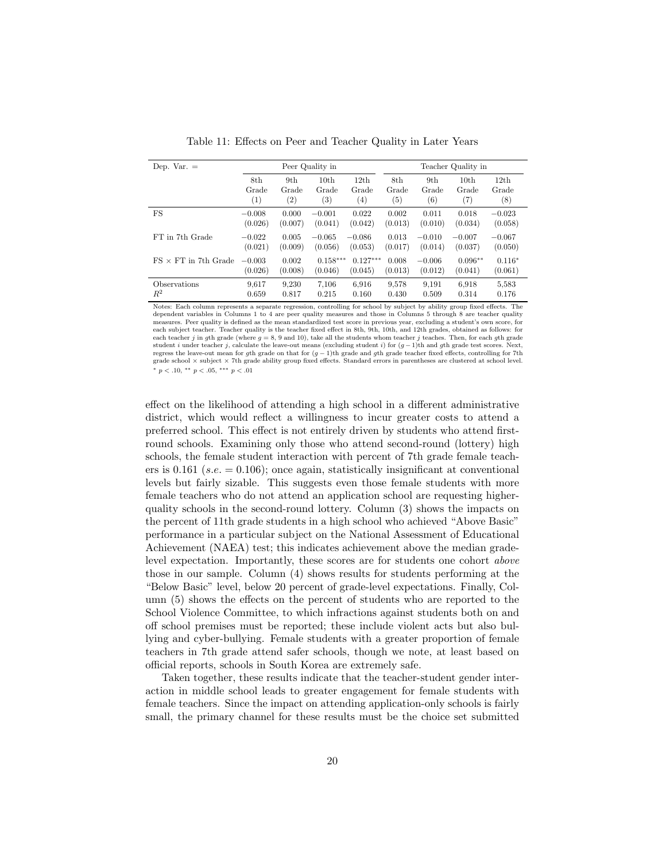<span id="page-19-0"></span>

| Dep. Var. $=$               |                   |                   | Peer Quality in   |                  | Teacher Quality in |          |                  |          |
|-----------------------------|-------------------|-------------------|-------------------|------------------|--------------------|----------|------------------|----------|
|                             | 8th               | 9th               | 10 <sub>th</sub>  | 12th             | 8th                | 9th      | 10 <sub>th</sub> | 12th     |
|                             | Grade             | Grade             | Grade             | Grade            | Grade              | Grade    | Grade            | Grade    |
| FS                          | $\left( 1\right)$ | $\left( 2\right)$ | $\left( 3\right)$ | $\left(4\right)$ | $\left( 5\right)$  | (6)      | (7)              | (8)      |
|                             | $-0.008$          | 0.000             | $-0.001$          | 0.022            | 0.002              | 0.011    | 0.018            | $-0.023$ |
|                             | (0.026)           | (0.007)           | (0.041)           | (0.042)          | (0.013)            | (0.010)  | (0.034)          | (0.058)  |
| FT in 7th Grade             | $-0.022$          | 0.005             | $-0.065$          | $-0.086$         | 0.013              | $-0.010$ | $-0.007$         | $-0.067$ |
|                             | (0.021)           | (0.009)           | (0.056)           | (0.053)          | (0.017)            | (0.014)  | (0.037)          | (0.050)  |
| $FS \times FT$ in 7th Grade | $-0.003$          | 0.002             | $0.158***$        | $0.127***$       | 0.008              | $-0.006$ | $0.096**$        | $0.116*$ |
|                             | (0.026)           | (0.008)           | (0.046)           | (0.045)          | (0.013)            | (0.012)  | (0.041)          | (0.061)  |
| Observations                | 9.617             | 9.230             | 7.106             | 6.916            | 9,578              | 9,191    | 6.918            | 5,583    |
| $R^2$                       | 0.659             | 0.817             | 0.215             | 0.160            | 0.430              | 0.509    | 0.314            | 0.176    |

Table 11: Effects on Peer and Teacher Quality in Later Years

Notes: Each column represents a separate regression, controlling for school by subject by ability group fixed effects. The dependent variables in Columns 1 to 4 are peer quality measures and those in Columns 5 through 8 are teacher quality measures. Peer quality is defined as the mean standardized test score in previous year, excluding a student's own score, for each subject teacher. Teacher quality is the teacher fixed effect in 8th, 9th, 10th, and 12th grades, obtained as follows: for each teacher j in gth grade (where  $g = 8, 9$  and 10), take all the students whom teacher j teaches. Then, for each gth grade student i under teacher j, calculate the leave-out means (excluding student i) for  $(q-1)$ th and gth grade test scores. Next, regress the leave-out mean for gth grade on that for  $(g-1)$ th grade and gth grade teacher fixed effects, controlling for 7th grade school × subject × 7th grade ability group fixed effects. Standard errors in parentheses are clustered at school level. \*  $p < .10,$  \*\*  $p < .05,$  \*\*\*  $p < .01$ 

effect on the likelihood of attending a high school in a different administrative district, which would reflect a willingness to incur greater costs to attend a preferred school. This effect is not entirely driven by students who attend firstround schools. Examining only those who attend second-round (lottery) high schools, the female student interaction with percent of 7th grade female teachers is 0.161 (s.e.  $= 0.106$ ); once again, statistically insignificant at conventional levels but fairly sizable. This suggests even those female students with more female teachers who do not attend an application school are requesting higherquality schools in the second-round lottery. Column (3) shows the impacts on the percent of 11th grade students in a high school who achieved "Above Basic" performance in a particular subject on the National Assessment of Educational Achievement (NAEA) test; this indicates achievement above the median gradelevel expectation. Importantly, these scores are for students one cohort above those in our sample. Column (4) shows results for students performing at the "Below Basic" level, below 20 percent of grade-level expectations. Finally, Column (5) shows the effects on the percent of students who are reported to the School Violence Committee, to which infractions against students both on and off school premises must be reported; these include violent acts but also bullying and cyber-bullying. Female students with a greater proportion of female teachers in 7th grade attend safer schools, though we note, at least based on official reports, schools in South Korea are extremely safe.

Taken together, these results indicate that the teacher-student gender interaction in middle school leads to greater engagement for female students with female teachers. Since the impact on attending application-only schools is fairly small, the primary channel for these results must be the choice set submitted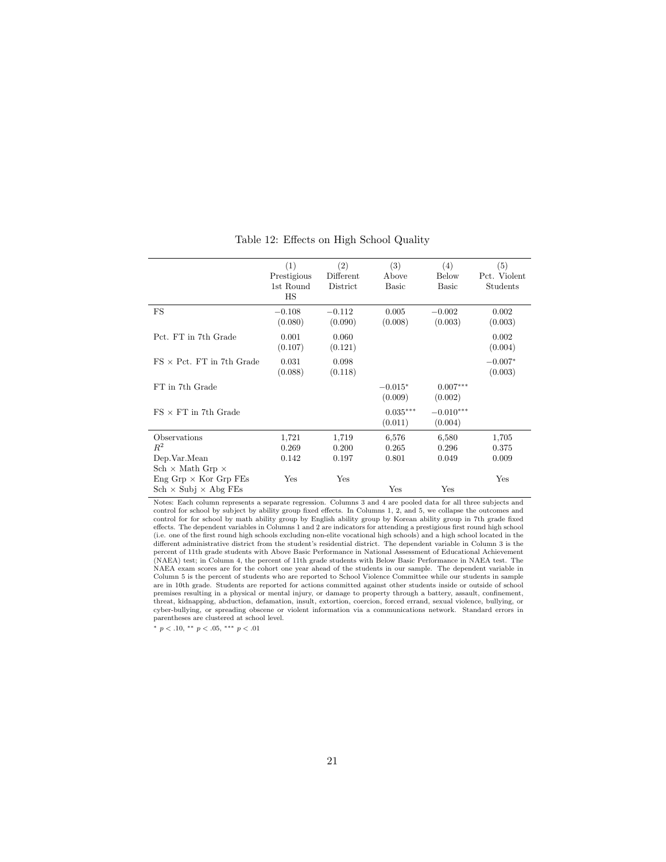<span id="page-20-0"></span>

|                                  | (1)<br>Prestigious<br>1st Round<br>HS | (2)<br>Different<br>District | (3)<br>Above<br><b>Basic</b> | (4)<br><b>Below</b><br><b>Basic</b> | (5)<br>Pct. Violent<br>Students |
|----------------------------------|---------------------------------------|------------------------------|------------------------------|-------------------------------------|---------------------------------|
| FS                               | $-0.108$<br>(0.080)                   | $-0.112$<br>(0.090)          | 0.005<br>(0.008)             | $-0.002$<br>(0.003)                 | 0.002<br>(0.003)                |
| Pct. FT in 7th Grade             | 0.001<br>(0.107)                      | 0.060<br>(0.121)             |                              |                                     | 0.002<br>(0.004)                |
| $FS \times$ Pct. FT in 7th Grade | 0.031<br>(0.088)                      | 0.098<br>(0.118)             |                              |                                     | $-0.007*$<br>(0.003)            |
| FT in 7th Grade                  |                                       |                              | $-0.015*$<br>(0.009)         | $0.007***$<br>(0.002)               |                                 |
| $FS \times FT$ in 7th Grade      |                                       |                              | $0.035***$<br>(0.011)        | $-0.010***$<br>(0.004)              |                                 |
| Observations                     | 1,721                                 | 1,719                        | 6,576                        | 6,580                               | 1,705                           |
| $R^2$                            | 0.269                                 | 0.200                        | 0.265                        | 0.296                               | 0.375                           |
| Dep.Var.Mean                     | 0.142                                 | 0.197                        | 0.801                        | 0.049                               | 0.009                           |
| $Sch \times Math Grp \times$     |                                       |                              |                              |                                     |                                 |
| $Eng Grp \times Kor Grp FEs$     | Yes                                   | $_{\mathrm{Yes}}$            |                              |                                     | Yes                             |
| $Sch \times Subj \times Abg FEs$ |                                       |                              | Yes                          | Yes                                 |                                 |

Table 12: Effects on High School Quality

Notes: Each column represents a separate regression. Columns 3 and 4 are pooled data for all three subjects and control for school by subject by ability group fixed effects. In Columns 1, 2, and 5, we collapse the outcomes and control for for school by math ability group by English ability group by Korean ability group in 7th grade fixed effects. The dependent variables in Columns 1 and 2 are indicators for attending a prestigious first round high school (i.e. one of the first round high schools excluding non-elite vocational high schools) and a high school located in the different administrative district from the student's residential district. The dependent variable in C percent of 11th grade students with Above Basic Performance in National Assessment of Educational Achievement (NAEA) test; in Column 4, the percent of 11th grade students with Below Basic Performance in NAEA test. The NAEA exam scores are for the cohort one year ahead of the students in our sample. The dependent variable in Column 5 is the percent of students who are reported to School Violence Committee while our students in sample are in 10th grade. Students are reported for actions committed against other students inside or outside of school premises resulting in a physical or mental injury, or damage to property through a battery, assault, confinement, threat, kidnapping, abduction, defamation, insult, extortion, coercion, forced errand, sexual violence, bullying, or cyber-bullying, or spreading obscene or violent information via a communications network. Standard errors in parentheses are clustered at school level.

 $^*$   $p$   $<$   $.10,$   $^{**}$   $p$   $<$   $.05,$   $^{***}$   $p$   $<$   $.01$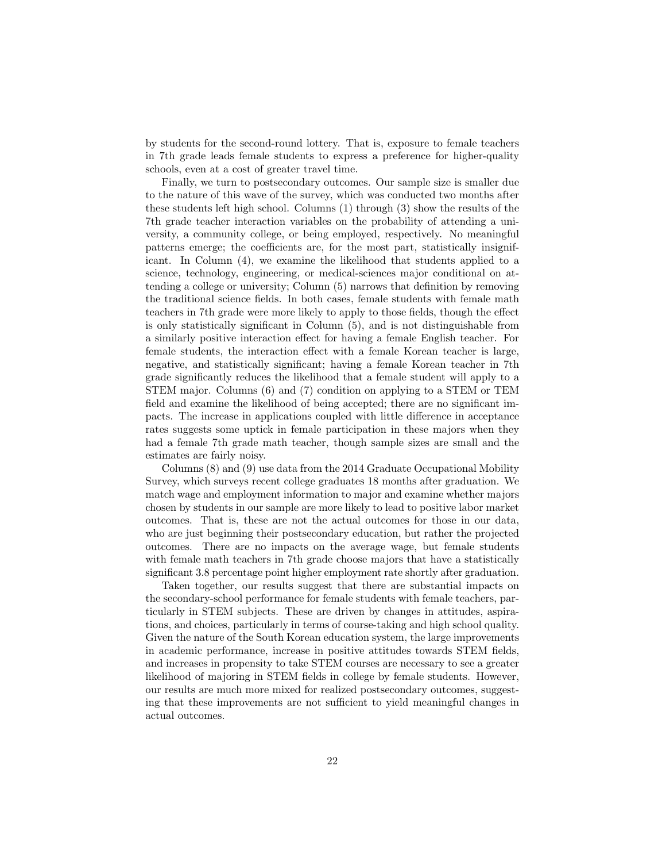by students for the second-round lottery. That is, exposure to female teachers in 7th grade leads female students to express a preference for higher-quality schools, even at a cost of greater travel time.

Finally, we turn to postsecondary outcomes. Our sample size is smaller due to the nature of this wave of the survey, which was conducted two months after these students left high school. Columns (1) through (3) show the results of the 7th grade teacher interaction variables on the probability of attending a university, a community college, or being employed, respectively. No meaningful patterns emerge; the coefficients are, for the most part, statistically insignificant. In Column (4), we examine the likelihood that students applied to a science, technology, engineering, or medical-sciences major conditional on attending a college or university; Column (5) narrows that definition by removing the traditional science fields. In both cases, female students with female math teachers in 7th grade were more likely to apply to those fields, though the effect is only statistically significant in Column (5), and is not distinguishable from a similarly positive interaction effect for having a female English teacher. For female students, the interaction effect with a female Korean teacher is large, negative, and statistically significant; having a female Korean teacher in 7th grade significantly reduces the likelihood that a female student will apply to a STEM major. Columns (6) and (7) condition on applying to a STEM or TEM field and examine the likelihood of being accepted; there are no significant impacts. The increase in applications coupled with little difference in acceptance rates suggests some uptick in female participation in these majors when they had a female 7th grade math teacher, though sample sizes are small and the estimates are fairly noisy.

Columns (8) and (9) use data from the 2014 Graduate Occupational Mobility Survey, which surveys recent college graduates 18 months after graduation. We match wage and employment information to major and examine whether majors chosen by students in our sample are more likely to lead to positive labor market outcomes. That is, these are not the actual outcomes for those in our data, who are just beginning their postsecondary education, but rather the projected outcomes. There are no impacts on the average wage, but female students with female math teachers in 7th grade choose majors that have a statistically significant 3.8 percentage point higher employment rate shortly after graduation.

Taken together, our results suggest that there are substantial impacts on the secondary-school performance for female students with female teachers, particularly in STEM subjects. These are driven by changes in attitudes, aspirations, and choices, particularly in terms of course-taking and high school quality. Given the nature of the South Korean education system, the large improvements in academic performance, increase in positive attitudes towards STEM fields, and increases in propensity to take STEM courses are necessary to see a greater likelihood of majoring in STEM fields in college by female students. However, our results are much more mixed for realized postsecondary outcomes, suggesting that these improvements are not sufficient to yield meaningful changes in actual outcomes.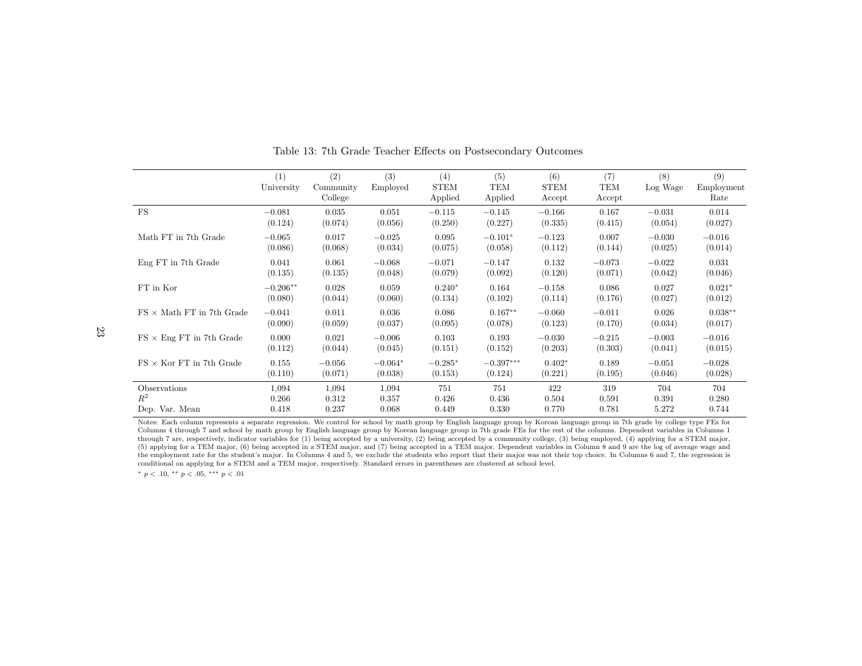|                                  | (1)<br>University | (2)<br>Community<br>College | (3)<br>Employed | (4)<br><b>STEM</b><br>Applied | (5)<br><b>TEM</b><br>Applied | (6)<br><b>STEM</b><br>Accept | (7)<br>TEM<br>Accept | (8)<br>Log Wage | (9)<br>Employment<br>Rate |
|----------------------------------|-------------------|-----------------------------|-----------------|-------------------------------|------------------------------|------------------------------|----------------------|-----------------|---------------------------|
| FS                               | $-0.081$          | 0.035                       | 0.051           | $-0.115$                      | $-0.145$                     | $-0.166$                     | 0.167                | $-0.031$        | 0.014                     |
|                                  | (0.124)           | (0.074)                     | (0.056)         | (0.250)                       | (0.227)                      | (0.335)                      | (0.415)              | (0.054)         | (0.027)                   |
| Math FT in 7th Grade             | $-0.065$          | 0.017                       | $-0.025$        | 0.095                         | $-0.101*$                    | $-0.123$                     | 0.007                | $-0.030$        | $-0.016$                  |
|                                  | (0.086)           | (0.068)                     | (0.034)         | (0.075)                       | (0.058)                      | (0.112)                      | (0.144)              | (0.025)         | (0.014)                   |
| Eng FT in 7th Grade              | 0.041             | 0.061                       | $-0.068$        | $-0.071$                      | $-0.147$                     | 0.132                        | $-0.073$             | $-0.022$        | 0.031                     |
|                                  | (0.135)           | (0.135)                     | (0.048)         | (0.079)                       | (0.092)                      | (0.120)                      | (0.071)              | (0.042)         | (0.046)                   |
| FT in Kor                        | $-0.206**$        | 0.028                       | 0.059           | $0.240*$                      | 0.164                        | $-0.158$                     | 0.086                | 0.027           | $0.021*$                  |
|                                  | (0.080)           | (0.044)                     | (0.060)         | (0.134)                       | (0.102)                      | (0.114)                      | (0.176)              | (0.027)         | (0.012)                   |
| $FS \times$ Math FT in 7th Grade | $-0.041$          | 0.011                       | 0.036           | 0.086                         | $0.167**$                    | $-0.060$                     | $-0.011$             | 0.026           | $0.038**$                 |
|                                  | (0.090)           | (0.059)                     | (0.037)         | (0.095)                       | (0.078)                      | (0.123)                      | (0.170)              | (0.034)         | (0.017)                   |
| $FS \times Eng$ FT in 7th Grade  | 0.000             | 0.021                       | $-0.006$        | 0.103                         | 0.193                        | $-0.030$                     | $-0.215$             | $-0.003$        | $-0.016$                  |
|                                  | (0.112)           | (0.044)                     | (0.045)         | (0.151)                       | (0.152)                      | (0.203)                      | (0.303)              | (0.041)         | (0.015)                   |
| $FS \times$ Kor FT in 7th Grade  | 0.155             | $-0.056$                    | $-0.064*$       | $-0.285*$                     | $-0.397***$                  | $0.402*$                     | 0.189                | $-0.051$        | $-0.028$                  |
|                                  | (0.110)           | (0.071)                     | (0.038)         | (0.153)                       | (0.124)                      | (0.221)                      | (0.195)              | (0.046)         | (0.028)                   |
| Observations                     | 1,094             | 1,094                       | 1,094           | 751                           | 751                          | 422                          | 319                  | 704             | 704                       |
| $R^2$                            | 0.266             | 0.312                       | 0.357           | 0.426                         | 0.436                        | 0.504                        | 0.591                | 0.391           | 0.280                     |
| Dep. Var. Mean                   | 0.418             | 0.237                       | 0.068           | 0.449                         | 0.330                        | 0.770                        | 0.781                | 5.272           | 0.744                     |

Table 13: 7th Grade Teacher Effects on Postsecondary Outcomes

 Notes: Each column represents <sup>a</sup> separate regression. We control for school by math group by English language group by Korean language group in 7th grade by college type FEs for Columns 4 through 7 and school by math group by English language group by Korean language group in 7th grade FEs for the rest of the columns. Dependent variables in Columns 1 through <sup>7</sup> are, respectively, indicator variables for (1) being accepted by <sup>a</sup> university, (2) being accepted by <sup>a</sup> community college, (3) being employed, (4) applying for <sup>a</sup> STEM major, (5) applying for <sup>a</sup> TEM major, (6) being accepted in <sup>a</sup> STEM major, and (7) being accepted in <sup>a</sup> TEM major. Dependent variables in Column <sup>8</sup> and <sup>9</sup> are the log of average wage and the employment rate for the student's major. In Columns 4 and 5, we exclude the students who report that their major was not their top choice. In Columns 6 and 7, the regression isconditional on applying for <sup>a</sup> STEM and <sup>a</sup> TEM major, respectively. Standard errors in parentheses are clustered at school level.

 $*$   $p$  < .10,  $*$   $p$  < .05,  $*$   $*$   $p$  < .01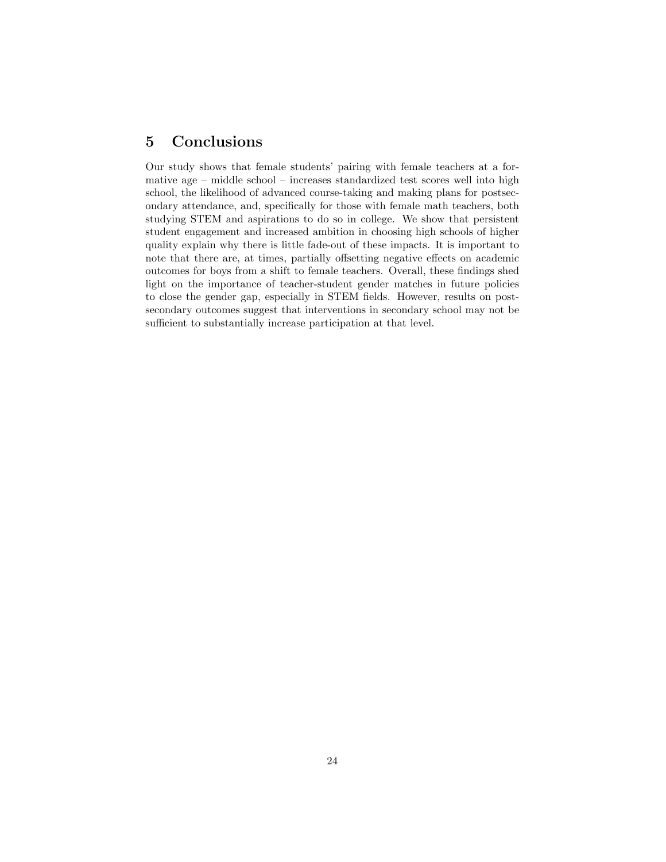## 5 Conclusions

Our study shows that female students' pairing with female teachers at a formative age – middle school – increases standardized test scores well into high school, the likelihood of advanced course-taking and making plans for postsecondary attendance, and, specifically for those with female math teachers, both studying STEM and aspirations to do so in college. We show that persistent student engagement and increased ambition in choosing high schools of higher quality explain why there is little fade-out of these impacts. It is important to note that there are, at times, partially offsetting negative effects on academic outcomes for boys from a shift to female teachers. Overall, these findings shed light on the importance of teacher-student gender matches in future policies to close the gender gap, especially in STEM fields. However, results on postsecondary outcomes suggest that interventions in secondary school may not be sufficient to substantially increase participation at that level.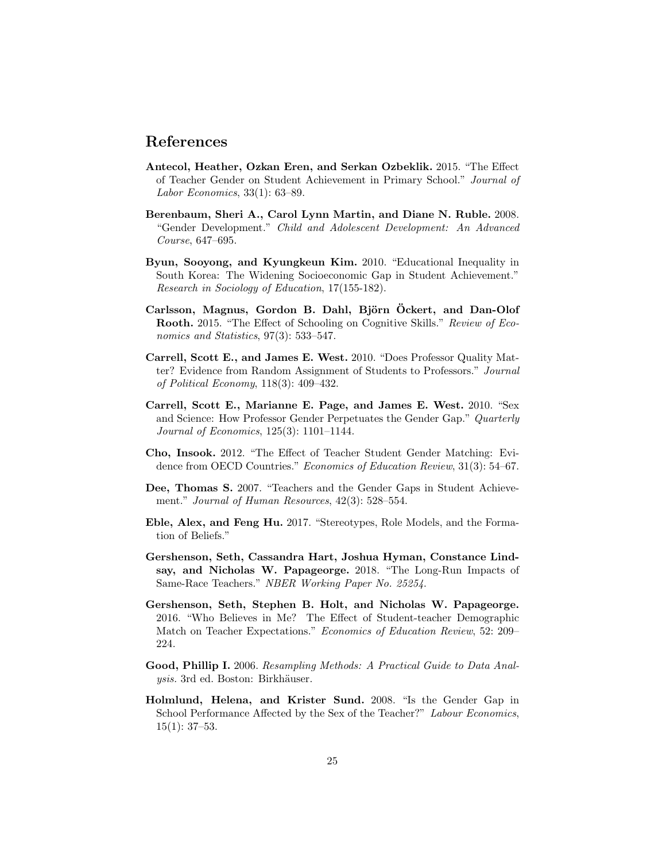### References

- <span id="page-24-3"></span>Antecol, Heather, Ozkan Eren, and Serkan Ozbeklik. 2015. "The Effect of Teacher Gender on Student Achievement in Primary School." Journal of Labor Economics, 33(1): 63–89.
- <span id="page-24-8"></span>Berenbaum, Sheri A., Carol Lynn Martin, and Diane N. Ruble. 2008. "Gender Development." Child and Adolescent Development: An Advanced Course, 647–695.
- <span id="page-24-7"></span>Byun, Sooyong, and Kyungkeun Kim. 2010. "Educational Inequality in South Korea: The Widening Socioeconomic Gap in Student Achievement." Research in Sociology of Education, 17(155-182).
- <span id="page-24-11"></span>Carlsson, Magnus, Gordon B. Dahl, Björn Öckert, and Dan-Olof Rooth. 2015. "The Effect of Schooling on Cognitive Skills." Review of Economics and Statistics, 97(3): 533-547.
- <span id="page-24-10"></span>Carrell, Scott E., and James E. West. 2010. "Does Professor Quality Matter? Evidence from Random Assignment of Students to Professors." Journal of Political Economy, 118(3): 409–432.
- <span id="page-24-4"></span>Carrell, Scott E., Marianne E. Page, and James E. West. 2010. "Sex and Science: How Professor Gender Perpetuates the Gender Gap." Quarterly Journal of Economics, 125(3): 1101–1144.
- <span id="page-24-2"></span>Cho, Insook. 2012. "The Effect of Teacher Student Gender Matching: Evidence from OECD Countries." Economics of Education Review, 31(3): 54–67.
- <span id="page-24-0"></span>Dee, Thomas S. 2007. "Teachers and the Gender Gaps in Student Achievement." Journal of Human Resources, 42(3): 528–554.
- <span id="page-24-12"></span>Eble, Alex, and Feng Hu. 2017. "Stereotypes, Role Models, and the Formation of Beliefs."
- <span id="page-24-6"></span>Gershenson, Seth, Cassandra Hart, Joshua Hyman, Constance Lindsay, and Nicholas W. Papageorge. 2018. "The Long-Run Impacts of Same-Race Teachers." NBER Working Paper No. 25254.
- <span id="page-24-5"></span>Gershenson, Seth, Stephen B. Holt, and Nicholas W. Papageorge. 2016. "Who Believes in Me? The Effect of Student-teacher Demographic Match on Teacher Expectations." Economics of Education Review, 52: 209– 224.
- <span id="page-24-9"></span>Good, Phillip I. 2006. Resampling Methods: A Practical Guide to Data Analysis. 3rd ed. Boston: Birkhäuser.
- <span id="page-24-1"></span>Holmlund, Helena, and Krister Sund. 2008. "Is the Gender Gap in School Performance Affected by the Sex of the Teacher?" Labour Economics,  $15(1): 37-53.$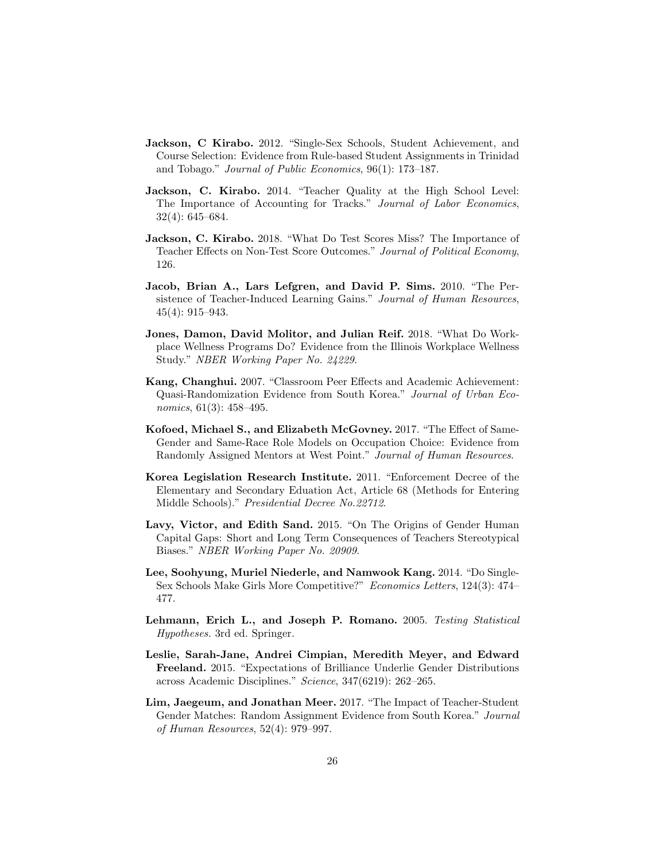- <span id="page-25-3"></span>Jackson, C Kirabo. 2012. "Single-Sex Schools, Student Achievement, and Course Selection: Evidence from Rule-based Student Assignments in Trinidad and Tobago." Journal of Public Economics, 96(1): 173–187.
- <span id="page-25-8"></span>Jackson, C. Kirabo. 2014. "Teacher Quality at the High School Level: The Importance of Accounting for Tracks." Journal of Labor Economics, 32(4): 645–684.
- <span id="page-25-9"></span>Jackson, C. Kirabo. 2018. "What Do Test Scores Miss? The Importance of Teacher Effects on Non-Test Score Outcomes." Journal of Political Economy, 126.
- <span id="page-25-4"></span>Jacob, Brian A., Lars Lefgren, and David P. Sims. 2010. "The Persistence of Teacher-Induced Learning Gains." Journal of Human Resources, 45(4): 915–943.
- <span id="page-25-11"></span>Jones, Damon, David Molitor, and Julian Reif. 2018. "What Do Workplace Wellness Programs Do? Evidence from the Illinois Workplace Wellness Study." NBER Working Paper No. 24229.
- <span id="page-25-6"></span>Kang, Changhui. 2007. "Classroom Peer Effects and Academic Achievement: Quasi-Randomization Evidence from South Korea." Journal of Urban Economics, 61(3): 458-495.
- <span id="page-25-5"></span>Kofoed, Michael S., and Elizabeth McGovney. 2017. "The Effect of Same-Gender and Same-Race Role Models on Occupation Choice: Evidence from Randomly Assigned Mentors at West Point." Journal of Human Resources.
- <span id="page-25-7"></span>Korea Legislation Research Institute. 2011. "Enforcement Decree of the Elementary and Secondary Eduation Act, Article 68 (Methods for Entering Middle Schools)." Presidential Decree No.22712.
- <span id="page-25-1"></span>Lavy, Victor, and Edith Sand. 2015. "On The Origins of Gender Human Capital Gaps: Short and Long Term Consequences of Teachers Stereotypical Biases." NBER Working Paper No. 20909.
- <span id="page-25-2"></span>Lee, Soohyung, Muriel Niederle, and Namwook Kang. 2014. "Do Single-Sex Schools Make Girls More Competitive?" Economics Letters, 124(3): 474– 477.
- <span id="page-25-10"></span>Lehmann, Erich L., and Joseph P. Romano. 2005. Testing Statistical Hypotheses. 3rd ed. Springer.
- <span id="page-25-12"></span>Leslie, Sarah-Jane, Andrei Cimpian, Meredith Meyer, and Edward Freeland. 2015. "Expectations of Brilliance Underlie Gender Distributions across Academic Disciplines." Science, 347(6219): 262–265.
- <span id="page-25-0"></span>Lim, Jaegeum, and Jonathan Meer. 2017. "The Impact of Teacher-Student Gender Matches: Random Assignment Evidence from South Korea." Journal of Human Resources, 52(4): 979–997.